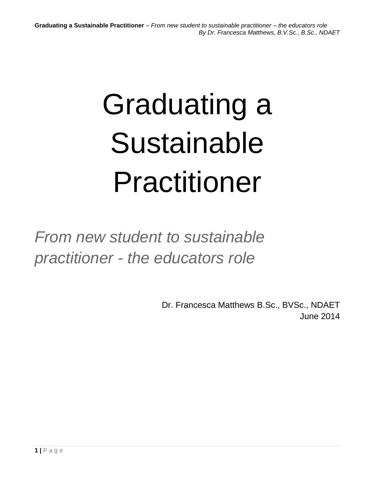# Graduating a Sustainable Practitioner

*From new student to sustainable practitioner - the educators role*

> Dr. Francesca Matthews B.Sc., BVSc., NDAET June 2014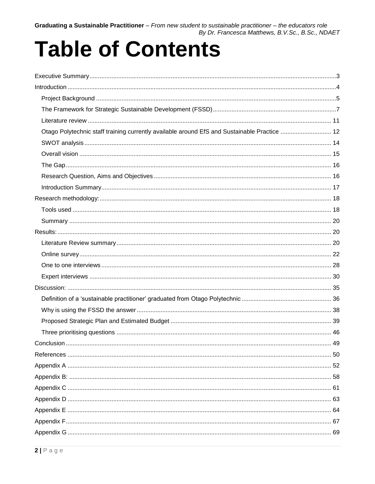# **Table of Contents**

| Otago Polytechnic staff training currently available around EfS and Sustainable Practice  12 |  |
|----------------------------------------------------------------------------------------------|--|
|                                                                                              |  |
|                                                                                              |  |
|                                                                                              |  |
|                                                                                              |  |
|                                                                                              |  |
|                                                                                              |  |
|                                                                                              |  |
|                                                                                              |  |
|                                                                                              |  |
|                                                                                              |  |
|                                                                                              |  |
|                                                                                              |  |
|                                                                                              |  |
|                                                                                              |  |
|                                                                                              |  |
|                                                                                              |  |
|                                                                                              |  |
|                                                                                              |  |
|                                                                                              |  |
|                                                                                              |  |
|                                                                                              |  |
|                                                                                              |  |
|                                                                                              |  |
|                                                                                              |  |
|                                                                                              |  |
|                                                                                              |  |
|                                                                                              |  |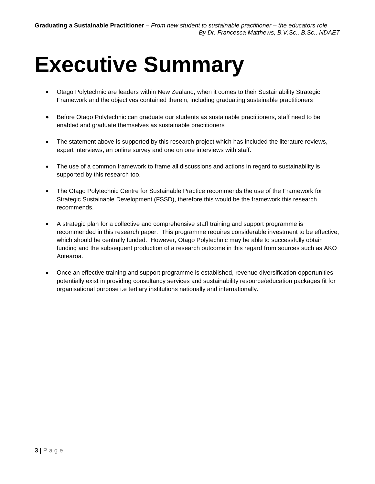# <span id="page-2-0"></span>**Executive Summary**

- Otago Polytechnic are leaders within New Zealand, when it comes to their Sustainability Strategic Framework and the objectives contained therein, including graduating sustainable practitioners
- Before Otago Polytechnic can graduate our students as sustainable practitioners, staff need to be enabled and graduate themselves as sustainable practitioners
- The statement above is supported by this research project which has included the literature reviews, expert interviews, an online survey and one on one interviews with staff.
- The use of a common framework to frame all discussions and actions in regard to sustainability is supported by this research too.
- The Otago Polytechnic Centre for Sustainable Practice recommends the use of the Framework for Strategic Sustainable Development (FSSD), therefore this would be the framework this research recommends.
- A strategic plan for a collective and comprehensive staff training and support programme is recommended in this research paper. This programme requires considerable investment to be effective, which should be centrally funded. However, Otago Polytechnic may be able to successfully obtain funding and the subsequent production of a research outcome in this regard from sources such as AKO Aotearoa.
- Once an effective training and support programme is established, revenue diversification opportunities potentially exist in providing consultancy services and sustainability resource/education packages fit for organisational purpose i.e tertiary institutions nationally and internationally.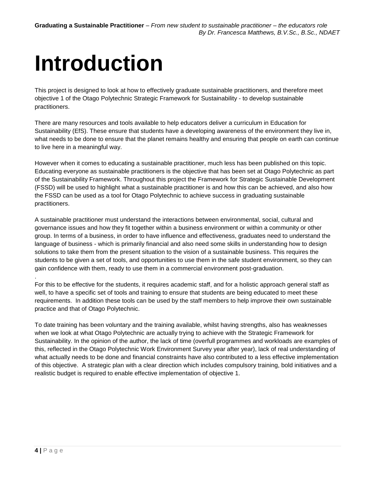# <span id="page-3-0"></span>**Introduction**

This project is designed to look at how to effectively graduate sustainable practitioners, and therefore meet objective 1 of the Otago Polytechnic Strategic Framework for Sustainability - to develop sustainable practitioners.

There are many resources and tools available to help educators deliver a curriculum in Education for Sustainability (EfS). These ensure that students have a developing awareness of the environment they live in, what needs to be done to ensure that the planet remains healthy and ensuring that people on earth can continue to live here in a meaningful way.

However when it comes to educating a sustainable practitioner, much less has been published on this topic. Educating everyone as sustainable practitioners is the objective that has been set at Otago Polytechnic as part of the Sustainability Framework. Throughout this project the Framework for Strategic Sustainable Development (FSSD) will be used to highlight what a sustainable practitioner is and how this can be achieved, and also how the FSSD can be used as a tool for Otago Polytechnic to achieve success in graduating sustainable practitioners.

A sustainable practitioner must understand the interactions between environmental, social, cultural and governance issues and how they fit together within a business environment or within a community or other group. In terms of a business, in order to have influence and effectiveness, graduates need to understand the language of business - which is primarily financial and also need some skills in understanding how to design solutions to take them from the present situation to the vision of a sustainable business. This requires the students to be given a set of tools, and opportunities to use them in the safe student environment, so they can gain confidence with them, ready to use them in a commercial environment post-graduation.

For this to be effective for the students, it requires academic staff, and for a holistic approach general staff as well, to have a specific set of tools and training to ensure that students are being educated to meet these requirements. In addition these tools can be used by the staff members to help improve their own sustainable practice and that of Otago Polytechnic.

To date training has been voluntary and the training available, whilst having strengths, also has weaknesses when we look at what Otago Polytechnic are actually trying to achieve with the Strategic Framework for Sustainability. In the opinion of the author, the lack of time (overfull programmes and workloads are examples of this, reflected in the Otago Polytechnic Work Environment Survey year after year), lack of real understanding of what actually needs to be done and financial constraints have also contributed to a less effective implementation of this objective. A strategic plan with a clear direction which includes compulsory training, bold initiatives and a realistic budget is required to enable effective implementation of objective 1.

.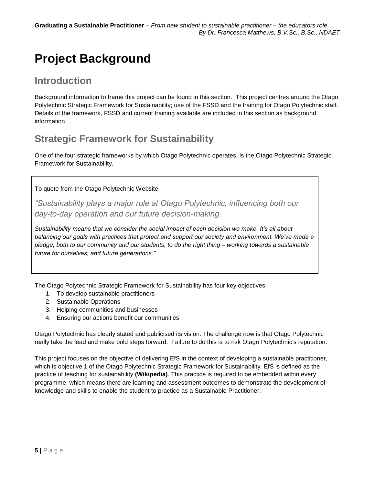## <span id="page-4-0"></span>**Project Background**

### **Introduction**

Background information to frame this project can be found in this section. This project centres around the Otago Polytechnic Strategic Framework for Sustainability; use of the FSSD and the training for Otago Polytechnic staff. Details of the framework, FSSD and current training available are included in this section as background information. .

## **Strategic Framework for Sustainability**

One of the four strategic frameworks by which Otago Polytechnic operates, is the Otago Polytechnic Strategic Framework for Sustainability.

### To quote from the Otago Polytechnic Website

*"Sustainability plays a major role at Otago Polytechnic, influencing both our day-to-day operation and our future decision-making.*

*Sustainability means that we consider the social impact of each decision we make. It's all about balancing our goals with practices that protect and support our society and environment. We've made a pledge, both to our community and our students, to do the right thing – working towards a sustainable future for ourselves, and future generations."*

The Otago Polytechnic Strategic Framework for Sustainability has four key objectives

- 1. To develop sustainable practitioners
- 2. Sustainable Operations
- 3. Helping communities and businesses
- 4. Ensuring our actions benefit our communities

Otago Polytechnic has clearly stated and publicised its vision. The challenge now is that Otago Polytechnic really take the lead and make bold steps forward. Failure to do this is to risk Otago Polytechnic's reputation.

This project focuses on the objective of delivering EfS in the context of developing a sustainable practitioner, which is objective 1 of the Otago Polytechnic Strategic Framework for Sustainability. EfS is defined as the practice of teaching for sustainability **(Wikipedia)**. This practice is required to be embedded within every programme, which means there are learning and assessment outcomes to demonstrate the development of knowledge and skills to enable the student to practice as a Sustainable Practitioner.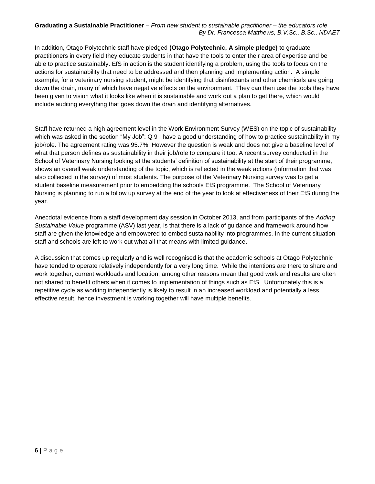In addition, Otago Polytechnic staff have pledged **(Otago Polytechnic, A simple pledge)** to graduate practitioners in every field they educate students in that have the tools to enter their area of expertise and be able to practice sustainably. EfS in action is the student identifying a problem, using the tools to focus on the actions for sustainability that need to be addressed and then planning and implementing action. A simple example, for a veterinary nursing student, might be identifying that disinfectants and other chemicals are going down the drain, many of which have negative effects on the environment. They can then use the tools they have been given to vision what it looks like when it is sustainable and work out a plan to get there, which would include auditing everything that goes down the drain and identifying alternatives.

Staff have returned a high agreement level in the Work Environment Survey (WES) on the topic of sustainability which was asked in the section "My Job": Q 9 I have a good understanding of how to practice sustainability in my job/role. The agreement rating was 95.7%. However the question is weak and does not give a baseline level of what that person defines as sustainability in their job/role to compare it too. A recent survey conducted in the School of Veterinary Nursing looking at the students' definition of sustainability at the start of their programme, shows an overall weak understanding of the topic, which is reflected in the weak actions (information that was also collected in the survey) of most students. The purpose of the Veterinary Nursing survey was to get a student baseline measurement prior to embedding the schools EfS programme. The School of Veterinary Nursing is planning to run a follow up survey at the end of the year to look at effectiveness of their EfS during the year.

Anecdotal evidence from a staff development day session in October 2013, and from participants of the *Adding Sustainable Value* programme (ASV) last year, is that there is a lack of guidance and framework around how staff are given the knowledge and empowered to embed sustainability into programmes. In the current situation staff and schools are left to work out what all that means with limited guidance.

A discussion that comes up regularly and is well recognised is that the academic schools at Otago Polytechnic have tended to operate relatively independently for a very long time. While the intentions are there to share and work together, current workloads and location, among other reasons mean that good work and results are often not shared to benefit others when it comes to implementation of things such as EfS. Unfortunately this is a repetitive cycle as working independently is likely to result in an increased workload and potentially a less effective result, hence investment is working together will have multiple benefits.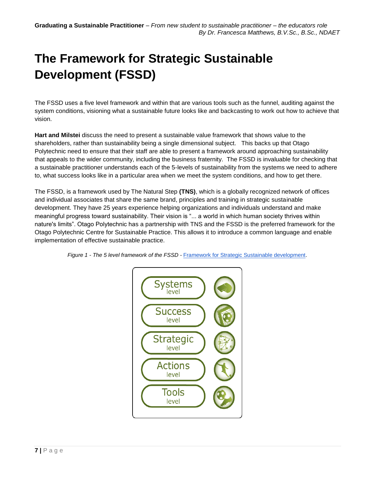# <span id="page-6-0"></span>**The Framework for Strategic Sustainable Development (FSSD)**

The FSSD uses a five level framework and within that are various tools such as the funnel, auditing against the system conditions, visioning what a sustainable future looks like and backcasting to work out how to achieve that vision.

**Hart and Milstei** discuss the need to present a sustainable value framework that shows value to the shareholders, rather than sustainability being a single dimensional subject. This backs up that Otago Polytechnic need to ensure that their staff are able to present a framework around approaching sustainability that appeals to the wider community, including the business fraternity. The FSSD is invaluable for checking that a sustainable practitioner understands each of the 5-levels of sustainability from the systems we need to adhere to, what success looks like in a particular area when we meet the system conditions, and how to get there.

The FSSD, is a framework used by The Natural Step **(TNS)**, which is a globally recognized network of offices and individual associates that share the same brand, principles and training in strategic sustainable development. They have 25 years experience helping organizations and individuals understand and make meaningful progress toward sustainability. Their vision is "... a world in which human society thrives within nature's limits". Otago Polytechnic has a partnership with TNS and the FSSD is the preferred framework for the Otago Polytechnic Centre for Sustainable Practice. This allows it to introduce a common language and enable implementation of effective sustainable practice.



*Figure 1 - The 5 level framework of the FSSD -* [Framework for Strategic Sustainable development.](http://www.naturalstep.org/en/5-levels)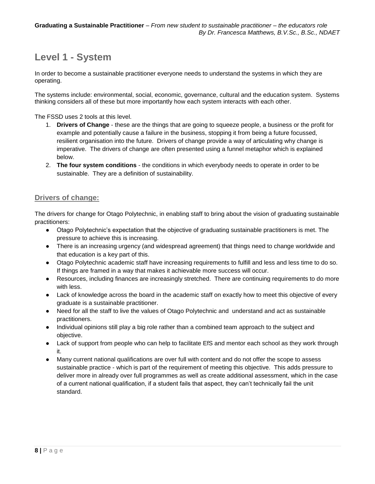## **Level 1 - System**

In order to become a sustainable practitioner everyone needs to understand the systems in which they are operating.

The systems include: environmental, social, economic, governance, cultural and the education system. Systems thinking considers all of these but more importantly how each system interacts with each other.

The FSSD uses 2 tools at this level.

- 1. **Drivers of Change** these are the things that are going to squeeze people, a business or the profit for example and potentially cause a failure in the business, stopping it from being a future focussed, resilient organisation into the future. Drivers of change provide a way of articulating why change is imperative. The drivers of change are often presented using a funnel metaphor which is explained below.
- 2. **The four system conditions** the conditions in which everybody needs to operate in order to be sustainable. They are a definition of sustainability.

### **Drivers of change:**

The drivers for change for Otago Polytechnic, in enabling staff to bring about the vision of graduating sustainable practitioners:

- Otago Polytechnic's expectation that the objective of graduating sustainable practitioners is met. The pressure to achieve this is increasing.
- There is an increasing urgency (and widespread agreement) that things need to change worldwide and that education is a key part of this.
- Otago Polytechnic academic staff have increasing requirements to fulfill and less and less time to do so. If things are framed in a way that makes it achievable more success will occur.
- Resources, including finances are increasingly stretched. There are continuing requirements to do more with less.
- Lack of knowledge across the board in the academic staff on exactly how to meet this objective of every graduate is a sustainable practitioner.
- Need for all the staff to live the values of Otago Polytechnic and understand and act as sustainable practitioners.
- Individual opinions still play a big role rather than a combined team approach to the subject and objective.
- Lack of support from people who can help to facilitate EfS and mentor each school as they work through it.
- Many current national qualifications are over full with content and do not offer the scope to assess sustainable practice - which is part of the requirement of meeting this objective. This adds pressure to deliver more in already over full programmes as well as create additional assessment, which in the case of a current national qualification, if a student fails that aspect, they can't technically fail the unit standard.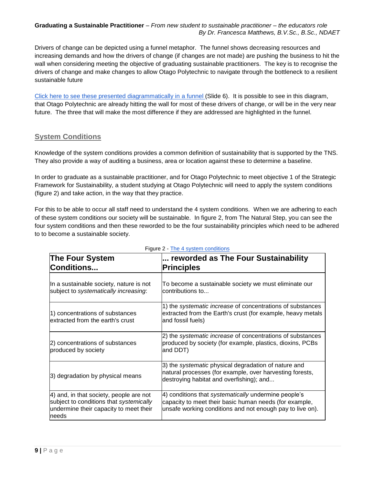Drivers of change can be depicted using a funnel metaphor. The funnel shows decreasing resources and increasing demands and how the drivers of change (if changes are not made) are pushing the business to hit the wall when considering meeting the objective of graduating sustainable practitioners. The key is to recognise the drivers of change and make changes to allow Otago Polytechnic to navigate through the bottleneck to a resilient sustainable future

[Click here to see these presented diagrammatically in](http://prezi.com/wgcgvublsvky/?utm_campaign=share&utm_medium=copy) a funnel (Slide 6). It is possible to see in this diagram, that Otago Polytechnic are already hitting the wall for most of these drivers of change, or will be in the very near future. The three that will make the most difference if they are addressed are highlighted in the funnel.

### **System Conditions**

Knowledge of the system conditions provides a common definition of sustainability that is supported by the TNS. They also provide a way of auditing a business, area or location against these to determine a baseline.

In order to graduate as a sustainable practitioner, and for Otago Polytechnic to meet objective 1 of the Strategic Framework for Sustainability, a student studying at Otago Polytechnic will need to apply the system conditions (figure 2) and take action, in the way that they practice.

For this to be able to occur all staff need to understand the 4 system conditions. When we are adhering to each of these system conditions our society will be sustainable. In figure 2, from The Natural Step, you can see the four system conditions and then these reworded to be the four sustainability principles which need to be adhered to to become a sustainable society.

| <b>The Four System</b><br><b>Conditions</b>                                                                                            | reworded as The Four Sustainability<br><b>Principles</b>                                                                                                                    |  |  |
|----------------------------------------------------------------------------------------------------------------------------------------|-----------------------------------------------------------------------------------------------------------------------------------------------------------------------------|--|--|
| In a sustainable society, nature is not<br>subject to systematically increasing:                                                       | To become a sustainable society we must eliminate our<br>contributions to                                                                                                   |  |  |
| 1) concentrations of substances<br>extracted from the earth's crust                                                                    | 1) the <i>systematic increase</i> of concentrations of substances<br>extracted from the Earth's crust (for example, heavy metals<br>and fossil fuels)                       |  |  |
| 2) concentrations of substances<br>produced by society                                                                                 | 2) the systematic increase of concentrations of substances<br>produced by society (for example, plastics, dioxins, PCBs<br>and DDT)                                         |  |  |
| 3) degradation by physical means                                                                                                       | 3) the systematic physical degradation of nature and<br>natural processes (for example, over harvesting forests,<br>destroying habitat and overfishing); and                |  |  |
| 4) and, in that society, people are not<br>subject to conditions that systemically<br>undermine their capacity to meet their<br>Ineeds | 4) conditions that systematically undermine people's<br>capacity to meet their basic human needs (for example,<br>unsafe working conditions and not enough pay to live on). |  |  |

### Figure 2 - [The 4 system](http://www.naturalstep.org/the-system-conditions) conditions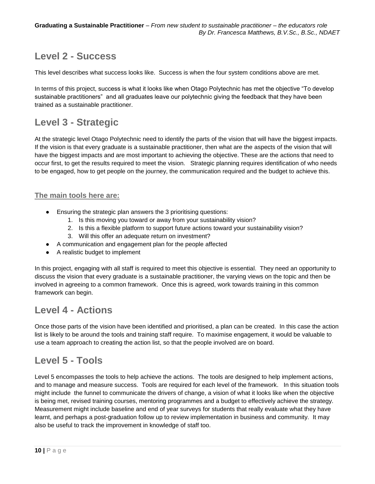## **Level 2 - Success**

This level describes what success looks like. Success is when the four system conditions above are met.

In terms of this project, success is what it looks like when Otago Polytechnic has met the objective "To develop sustainable practitioners" and all graduates leave our polytechnic giving the feedback that they have been trained as a sustainable practitioner.

## **Level 3 - Strategic**

At the strategic level Otago Polytechnic need to identify the parts of the vision that will have the biggest impacts. If the vision is that every graduate is a sustainable practitioner, then what are the aspects of the vision that will have the biggest impacts and are most important to achieving the objective. These are the actions that need to occur first, to get the results required to meet the vision. Strategic planning requires identification of who needs to be engaged, how to get people on the journey, the communication required and the budget to achieve this.

### **The main tools here are:**

- Ensuring the strategic plan answers the 3 prioritising questions:
	- 1. Is this moving you toward or away from your sustainability vision?
	- 2. Is this a flexible platform to support future actions toward your sustainability vision?
	- 3. Will this offer an adequate return on investment?
- A communication and engagement plan for the people affected
- A realistic budget to implement

In this project, engaging with all staff is required to meet this objective is essential. They need an opportunity to discuss the vision that every graduate is a sustainable practitioner, the varying views on the topic and then be involved in agreeing to a common framework. Once this is agreed, work towards training in this common framework can begin.

### **Level 4 - Actions**

Once those parts of the vision have been identified and prioritised, a plan can be created. In this case the action list is likely to be around the tools and training staff require. To maximise engagement, it would be valuable to use a team approach to creating the action list, so that the people involved are on board.

## **Level 5 - Tools**

Level 5 encompasses the tools to help achieve the actions. The tools are designed to help implement actions, and to manage and measure success. Tools are required for each level of the framework. In this situation tools might include the funnel to communicate the drivers of change, a vision of what it looks like when the objective is being met, revised training courses, mentoring programmes and a budget to effectively achieve the strategy. Measurement might include baseline and end of year surveys for students that really evaluate what they have learnt, and perhaps a post-graduation follow up to review implementation in business and community. It may also be useful to track the improvement in knowledge of staff too.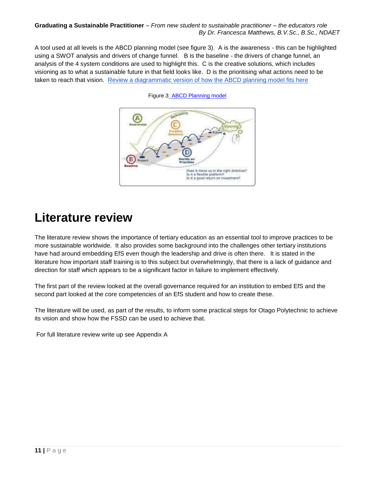A tool used at all levels is the ABCD planning model (see figure 3). A is the awareness - this can be highlighted using a SWOT analysis and drivers of change funnel. B is the baseline - the drivers of change funnel, an analysis of the 4 system conditions are used to highlight this. C is the creative solutions, which includes visioning as to what a sustainable future in that field looks like. D is the prioritising what actions need to be taken to reach that vision. [Review a diagrammatic version of how the ABCD planning model fits here](http://prezi.com/wgcgvublsvky/?utm_campaign=share&utm_medium=copy)



Figure 3: [ABCD Planning model](http://www.naturalstep.org/en/applying-abcd-method)

## <span id="page-10-0"></span>**Literature review**

The literature review shows the importance of tertiary education as an essential tool to improve practices to be more sustainable worldwide. It also provides some background into the challenges other tertiary institutions have had around embedding EfS even though the leadership and drive is often there. It is stated in the literature how important staff training is to this subject but overwhelmingly, that there is a lack of guidance and direction for staff which appears to be a significant factor in failure to implement effectively.

The first part of the review looked at the overall governance required for an institution to embed EfS and the second part looked at the core competencies of an EfS student and how to create these.

The literature will be used, as part of the results, to inform some practical steps for Otago Polytechnic to achieve its vision and show how the FSSD can be used to achieve that.

<span id="page-10-1"></span>For full literature review write up see Appendix A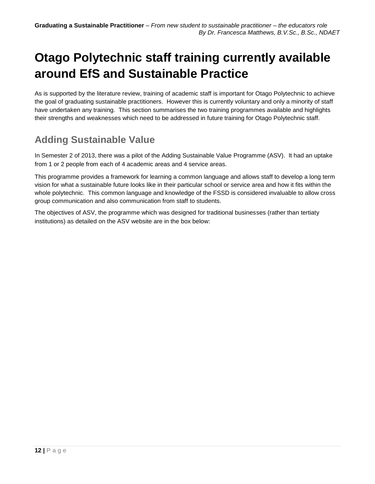# **Otago Polytechnic staff training currently available around EfS and Sustainable Practice**

As is supported by the literature review, training of academic staff is important for Otago Polytechnic to achieve the goal of graduating sustainable practitioners. However this is currently voluntary and only a minority of staff have undertaken any training. This section summarises the two training programmes available and highlights their strengths and weaknesses which need to be addressed in future training for Otago Polytechnic staff.

## **Adding Sustainable Value**

In Semester 2 of 2013, there was a pilot of the Adding Sustainable Value Programme (ASV). It had an uptake from 1 or 2 people from each of 4 academic areas and 4 service areas.

This programme provides a framework for learning a common language and allows staff to develop a long term vision for what a sustainable future looks like in their particular school or service area and how it fits within the whole polytechnic. This common language and knowledge of the FSSD is considered invaluable to allow cross group communication and also communication from staff to students.

The objectives of ASV, the programme which was designed for traditional businesses (rather than tertiaty institutions) as detailed on the ASV website are in the box below: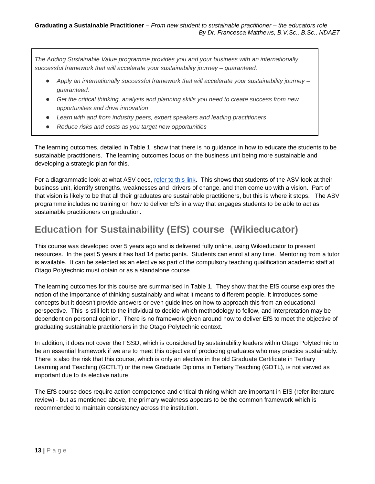*The Adding Sustainable Value programme provides you and your business with an internationally successful framework that will accelerate your sustainability journey – guaranteed.*

- *Apply an internationally successful framework that will accelerate your sustainability journey – guaranteed.*
- Get the critical thinking, analysis and planning skills you need to create success from new *opportunities and drive innovation*
- *Learn with and from industry peers, expert speakers and leading practitioners*
- *Reduce risks and costs as you target new opportunities*

The learning outcomes, detailed in Table 1, show that there is no guidance in how to educate the students to be sustainable practitioners. The learning outcomes focus on the business unit being more sustainable and developing a strategic plan for this.

For a diagrammatic look at what ASV does, [refer to this link.](http://prezi.com/tn7uxseuqed8/?utm_campaign=share&utm_medium=copy&rc=ex0share) This shows that students of the ASV look at their business unit, identify strengths, weaknesses and drivers of change, and then come up with a vision. Part of that vision is likely to be that all their graduates are sustainable practitioners, but this is where it stops. The ASV programme includes no training on how to deliver EfS in a way that engages students to be able to act as sustainable practitioners on graduation.

## **Education for Sustainability (EfS) course (Wikieducator)**

This course was developed over 5 years ago and is delivered fully online, using Wikieducator to present resources. In the past 5 years it has had 14 participants. Students can enrol at any time. Mentoring from a tutor is available. It can be selected as an elective as part of the compulsory teaching qualification academic staff at Otago Polytechnic must obtain or as a standalone course.

The learning outcomes for this course are summarised in Table 1. They show that the EfS course explores the notion of the importance of thinking sustainably and what it means to different people. It introduces some concepts but it doesn't provide answers or even guidelines on how to approach this from an educational perspective. This is still left to the individual to decide which methodology to follow, and interpretation may be dependent on personal opinion. There is no framework given around how to deliver EfS to meet the objective of graduating sustainable practitioners in the Otago Polytechnic context.

In addition, it does not cover the FSSD, which is considered by sustainability leaders within Otago Polytechnic to be an essential framework if we are to meet this objective of producing graduates who may practice sustainably. There is also the risk that this course, which is only an elective in the old Graduate Certificate in Tertiary Learning and Teaching (GCTLT) or the new Graduate Diploma in Tertiary Teaching (GDTL), is not viewed as important due to its elective nature.

The EfS course does require action competence and critical thinking which are important in EfS (refer literature review) - but as mentioned above, the primary weakness appears to be the common framework which is recommended to maintain consistency across the institution.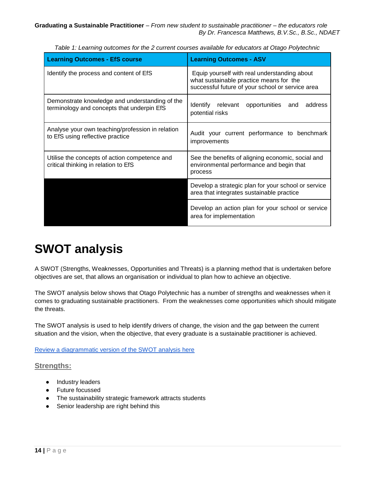| <b>Learning Outcomes - EfS course</b>                                                        | <b>Learning Outcomes - ASV</b>                                                                                                              |  |  |
|----------------------------------------------------------------------------------------------|---------------------------------------------------------------------------------------------------------------------------------------------|--|--|
| Identify the process and content of EfS                                                      | Equip yourself with real understanding about<br>what sustainable practice means for the<br>successful future of your school or service area |  |  |
| Demonstrate knowledge and understanding of the<br>terminology and concepts that underpin EfS | Identify relevant<br>address<br>opportunities and<br>potential risks                                                                        |  |  |
| Analyse your own teaching/profession in relation<br>to EfS using reflective practice         | Audit your current performance to benchmark<br>improvements                                                                                 |  |  |
| Utilise the concepts of action competence and<br>critical thinking in relation to EfS        | See the benefits of aligning economic, social and<br>environmental performance and begin that<br>process                                    |  |  |
|                                                                                              | Develop a strategic plan for your school or service<br>area that integrates sustainable practice                                            |  |  |
|                                                                                              | Develop an action plan for your school or service<br>area for implementation                                                                |  |  |

*Table 1: Learning outcomes for the 2 current courses available for educators at Otago Polytechnic*

## <span id="page-13-0"></span>**SWOT analysis**

A SWOT (Strengths, Weaknesses, Opportunities and Threats) is a planning method that is undertaken before objectives are set, that allows an organisation or individual to plan how to achieve an objective.

The SWOT analysis below shows that Otago Polytechnic has a number of strengths and weaknesses when it comes to graduating sustainable practitioners. From the weaknesses come opportunities which should mitigate the threats.

The SWOT analysis is used to help identify drivers of change, the vision and the gap between the current situation and the vision, when the objective, that every graduate is a sustainable practitioner is achieved.

[Review a diagrammatic version of the SWOT analysis here](http://prezi.com/wgcgvublsvky/?utm_campaign=share&utm_medium=copy)

### **Strengths:**

- Industry leaders
- Future focussed
- The sustainability strategic framework attracts students
- Senior leadership are right behind this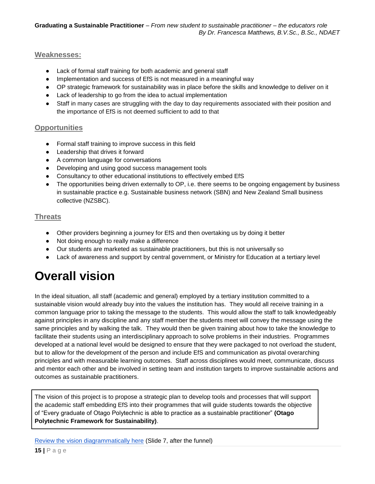### **Weaknesses:**

- Lack of formal staff training for both academic and general staff
- Implementation and success of EfS is not measured in a meaningful way
- OP strategic framework for sustainability was in place before the skills and knowledge to deliver on it
- Lack of leadership to go from the idea to actual implementation
- Staff in many cases are struggling with the day to day requirements associated with their position and the importance of EfS is not deemed sufficient to add to that

### **Opportunities**

- Formal staff training to improve success in this field
- Leadership that drives it forward
- A common language for conversations
- Developing and using good success management tools
- Consultancy to other educational institutions to effectively embed EfS
- The opportunities being driven externally to OP, i.e. there seems to be ongoing engagement by business in sustainable practice e.g. Sustainable business network (SBN) and New Zealand Small business collective (NZSBC).

### **Threats**

- Other providers beginning a journey for EfS and then overtaking us by doing it better
- Not doing enough to really make a difference
- Our students are marketed as sustainable practitioners, but this is not universally so
- Lack of awareness and support by central government, or Ministry for Education at a tertiary level

## <span id="page-14-0"></span>**Overall vision**

In the ideal situation, all staff (academic and general) employed by a tertiary institution committed to a sustainable vision would already buy into the values the institution has. They would all receive training in a common language prior to taking the message to the students. This would allow the staff to talk knowledgeably against principles in any discipline and any staff member the students meet will convey the message using the same principles and by walking the talk. They would then be given training about how to take the knowledge to facilitate their students using an interdisciplinary approach to solve problems in their industries. Programmes developed at a national level would be designed to ensure that they were packaged to not overload the student, but to allow for the development of the person and include EfS and communication as pivotal overarching principles and with measurable learning outcomes. Staff across disciplines would meet, communicate, discuss and mentor each other and be involved in setting team and institution targets to improve sustainable actions and outcomes as sustainable practitioners.

The vision of this project is to propose a strategic plan to develop tools and processes that will support the academic staff embedding EfS into their programmes that will guide students towards the objective of "Every graduate of Otago Polytechnic is able to practice as a sustainable practitioner" **(Otago Polytechnic Framework for Sustainability)**.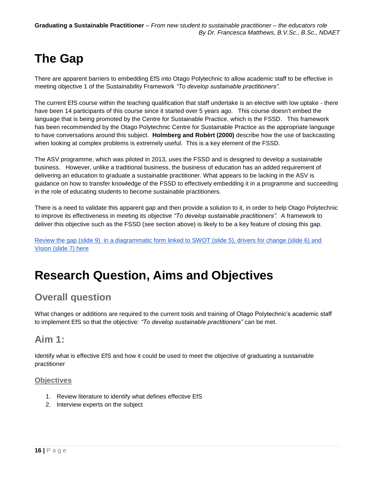# <span id="page-15-0"></span>**The Gap**

There are apparent barriers to embedding EfS into Otago Polytechnic to allow academic staff to be effective in meeting objective 1 of the Sustainability Framework *"To develop sustainable practitioners".*

The current EfS course within the teaching qualification that staff undertake is an elective with low uptake - there have been 14 participants of this course since it started over 5 years ago. This course doesn't embed the language that is being promoted by the Centre for Sustainable Practice, which is the FSSD. This framework has been recommended by the Otago Polytechnic Centre for Sustainable Practice as the appropriate language to have conversations around this subject. **Holmberg and Robèrt (2000)** describe how the use of backcasting when looking at complex problems is extremely useful. This is a key element of the FSSD.

The ASV programme, which was piloted in 2013, uses the FSSD and is designed to develop a sustainable business. However, unlike a traditional business, the business of education has an added requirement of delivering an education to graduate a sustainable practitioner. What appears to be lacking in the ASV is guidance on how to transfer knowledge of the FSSD to effectively embedding it in a programme and succeeding in the role of educating students to become sustainable practitioners.

There is a need to validate this apparent gap and then provide a solution to it, in order to help Otago Polytechnic to improve its effectiveness in meeting its objective *"To develop sustainable practitioners".* A framework to deliver this objective such as the FSSD (see section above) is likely to be a key feature of closing this gap.

[Review the gap \(slide 9\) in a diagrammatic form linked to SWOT \(slide 5\), drivers for change \(slide 6\) and](http://prezi.com/wgcgvublsvky/?utm_campaign=share&utm_medium=copy)  [Vision \(slide 7\) here](http://prezi.com/wgcgvublsvky/?utm_campaign=share&utm_medium=copy)

## <span id="page-15-1"></span>**Research Question, Aims and Objectives**

## **Overall question**

What changes or additions are required to the current tools and training of Otago Polytechnic's academic staff to implement EfS so that the objective: *"To develop sustainable practitioners"* can be met.

## **Aim 1:**

Identify what is effective EfS and how it could be used to meet the objective of graduating a sustainable practitioner

### **Objectives**

- 1. Review literature to identify what defines effective EfS
- 2. Interview experts on the subject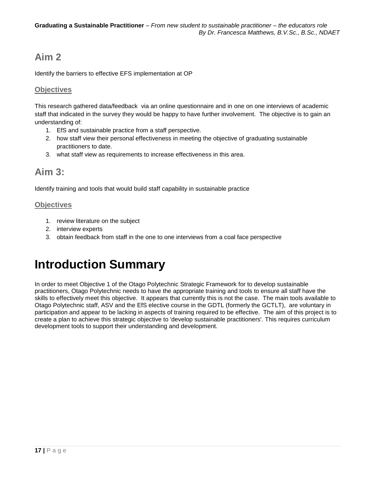## **Aim 2**

Identify the barriers to effective EFS implementation at OP

### **Objectives**

This research gathered data/feedback via an online questionnaire and in one on one interviews of academic staff that indicated in the survey they would be happy to have further involvement. The objective is to gain an understanding of:

- 1. EfS and sustainable practice from a staff perspective.
- 2. how staff view their personal effectiveness in meeting the objective of graduating sustainable practitioners to date.
- 3. what staff view as requirements to increase effectiveness in this area.

## **Aim 3:**

Identify training and tools that would build staff capability in sustainable practice

### **Objectives**

- 1. review literature on the subject
- 2. interview experts
- 3. obtain feedback from staff in the one to one interviews from a coal face perspective

## <span id="page-16-0"></span>**Introduction Summary**

In order to meet Objective 1 of the Otago Polytechnic Strategic Framework for to develop sustainable practitioners, Otago Polytechnic needs to have the appropriate training and tools to ensure all staff have the skills to effectively meet this objective. It appears that currently this is not the case. The main tools available to Otago Polytechnic staff, ASV and the EfS elective course in the GDTL (formerly the GCTLT), are voluntary in participation and appear to be lacking in aspects of training required to be effective. The aim of this project is to create a plan to achieve this strategic objective to 'develop sustainable practitioners'. This requires curriculum development tools to support their understanding and development.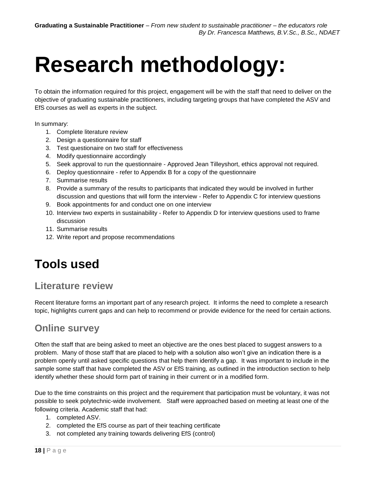# <span id="page-17-0"></span>**Research methodology:**

To obtain the information required for this project, engagement will be with the staff that need to deliver on the objective of graduating sustainable practitioners, including targeting groups that have completed the ASV and EfS courses as well as experts in the subject.

In summary:

- 1. Complete literature review
- 2. Design a questionnaire for staff
- 3. Test questionaire on two staff for effectiveness
- 4. Modify questionnaire accordingly
- 5. Seek approval to run the questionnaire Approved Jean Tilleyshort, ethics approval not required.
- 6. Deploy questionnaire refer to Appendix B for a copy of the questionnaire
- 7. Summarise results
- 8. Provide a summary of the results to participants that indicated they would be involved in further discussion and questions that will form the interview - Refer to Appendix C for interview questions
- 9. Book appointments for and conduct one on one interview
- 10. Interview two experts in sustainability Refer to Appendix D for interview questions used to frame discussion
- 11. Summarise results
- 12. Write report and propose recommendations

## <span id="page-17-1"></span>**Tools used**

## **Literature review**

Recent literature forms an important part of any research project. It informs the need to complete a research topic, highlights current gaps and can help to recommend or provide evidence for the need for certain actions.

### **Online survey**

Often the staff that are being asked to meet an objective are the ones best placed to suggest answers to a problem. Many of those staff that are placed to help with a solution also won't give an indication there is a problem openly until asked specific questions that help them identify a gap. It was important to include in the sample some staff that have completed the ASV or EfS training, as outlined in the introduction section to help identify whether these should form part of training in their current or in a modified form.

Due to the time constraints on this project and the requirement that participation must be voluntary, it was not possible to seek polytechnic-wide involvement. Staff were approached based on meeting at least one of the following criteria. Academic staff that had:

- 1. completed ASV.
- 2. completed the EfS course as part of their teaching certificate
- 3. not completed any training towards delivering EfS (control)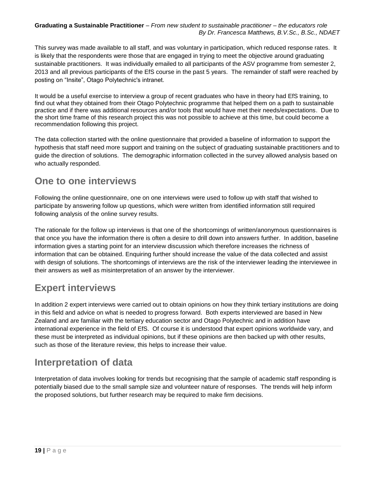This survey was made available to all staff, and was voluntary in participation, which reduced response rates. It is likely that the respondents were those that are engaged in trying to meet the objective around graduating sustainable practitioners. It was individually emailed to all participants of the ASV programme from semester 2, 2013 and all previous participants of the EfS course in the past 5 years. The remainder of staff were reached by posting on "Insite", Otago Polytechnic's intranet.

It would be a useful exercise to interview a group of recent graduates who have in theory had EfS training, to find out what they obtained from their Otago Polytechnic programme that helped them on a path to sustainable practice and if there was additional resources and/or tools that would have met their needs/expectations. Due to the short time frame of this research project this was not possible to achieve at this time, but could become a recommendation following this project.

The data collection started with the online questionnaire that provided a baseline of information to support the hypothesis that staff need more support and training on the subject of graduating sustainable practitioners and to guide the direction of solutions. The demographic information collected in the survey allowed analysis based on who actually responded.

## **One to one interviews**

Following the online questionnaire, one on one interviews were used to follow up with staff that wished to participate by answering follow up questions, which were written from identified information still required following analysis of the online survey results.

The rationale for the follow up interviews is that one of the shortcomings of written/anonymous questionnaires is that once you have the information there is often a desire to drill down into answers further. In addition, baseline information gives a starting point for an interview discussion which therefore increases the richness of information that can be obtained. Enquiring further should increase the value of the data collected and assist with design of solutions. The shortcomings of interviews are the risk of the interviewer leading the interviewee in their answers as well as misinterpretation of an answer by the interviewer.

## **Expert interviews**

In addition 2 expert interviews were carried out to obtain opinions on how they think tertiary institutions are doing in this field and advice on what is needed to progress forward. Both experts interviewed are based in New Zealand and are familiar with the tertiary education sector and Otago Polytechnic and in addition have international experience in the field of EfS. Of course it is understood that expert opinions worldwide vary, and these must be interpreted as individual opinions, but if these opinions are then backed up with other results, such as those of the literature review, this helps to increase their value.

## **Interpretation of data**

Interpretation of data involves looking for trends but recognising that the sample of academic staff responding is potentially biased due to the small sample size and volunteer nature of responses. The trends will help inform the proposed solutions, but further research may be required to make firm decisions.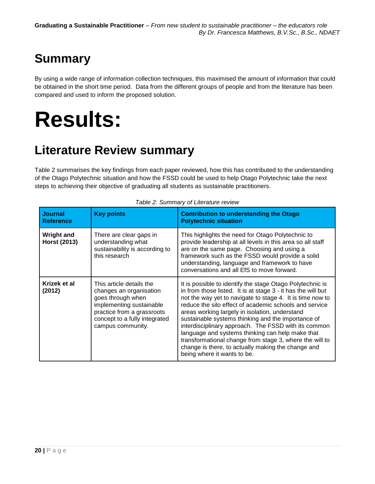# <span id="page-19-0"></span>**Summary**

By using a wide range of information collection techniques, this maximised the amount of information that could be obtained in the short time period. Data from the different groups of people and from the literature has been compared and used to inform the proposed solution.

# <span id="page-19-1"></span>**Results:**

## <span id="page-19-2"></span>**Literature Review summary**

Table 2 summarises the key findings from each paper reviewed, how this has contributed to the understanding of the Otago Polytechnic situation and how the FSSD could be used to help Otago Polytechnic take the next steps to achieving their objective of graduating all students as sustainable practitioners.

| <b>Journal</b><br><b>Reference</b>       | <b>Key points</b>                                                                                                                                                                        | <b>Contribution to understanding the Otago</b><br><b>Polytechnic situation</b>                                                                                                                                                                                                                                                                                                                                                                                                                                                                                                                                       |
|------------------------------------------|------------------------------------------------------------------------------------------------------------------------------------------------------------------------------------------|----------------------------------------------------------------------------------------------------------------------------------------------------------------------------------------------------------------------------------------------------------------------------------------------------------------------------------------------------------------------------------------------------------------------------------------------------------------------------------------------------------------------------------------------------------------------------------------------------------------------|
| <b>Wright and</b><br><b>Horst (2013)</b> | There are clear gaps in<br>understanding what<br>sustainability is according to<br>this research                                                                                         | This highlights the need for Otago Polytechnic to<br>provide leadership at all levels in this area so all staff<br>are on the same page. Choosing and using a<br>framework such as the FSSD would provide a solid<br>understanding, language and framework to have<br>conversations and all EfS to move forward.                                                                                                                                                                                                                                                                                                     |
| Krizek et al<br>(2012)                   | This article details the<br>changes an organisation<br>goes through when<br>implementing sustainable<br>practice from a grassroots<br>concept to a fully integrated<br>campus community. | It is possible to identify the stage Otago Polytechnic is<br>in from those listed. It is at stage 3 - it has the will but<br>not the way yet to navigate to stage 4. It is time now to<br>reduce the silo effect of academic schools and service<br>areas working largely in isolation, understand<br>sustainable systems thinking and the importance of<br>interdisciplinary approach. The FSSD with its common<br>language and systems thinking can help make that<br>transformational change from stage 3, where the will to<br>change is there, to actually making the change and<br>being where it wants to be. |

*Table 2: Summary of Literature review*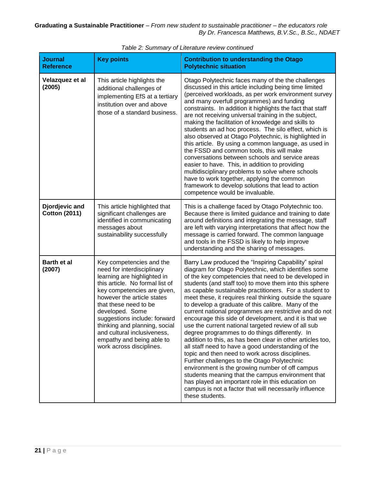| <b>Journal</b><br><b>Reference</b>     | <b>Key points</b>                                                                                                                                                                                                                                                                                                                                                                          | <b>Contribution to understanding the Otago</b><br><b>Polytechnic situation</b>                                                                                                                                                                                                                                                                                                                                                                                                                                                                                                                                                                                                                                                                                                                                                                                                                                                                                                                                                                                                                         |  |
|----------------------------------------|--------------------------------------------------------------------------------------------------------------------------------------------------------------------------------------------------------------------------------------------------------------------------------------------------------------------------------------------------------------------------------------------|--------------------------------------------------------------------------------------------------------------------------------------------------------------------------------------------------------------------------------------------------------------------------------------------------------------------------------------------------------------------------------------------------------------------------------------------------------------------------------------------------------------------------------------------------------------------------------------------------------------------------------------------------------------------------------------------------------------------------------------------------------------------------------------------------------------------------------------------------------------------------------------------------------------------------------------------------------------------------------------------------------------------------------------------------------------------------------------------------------|--|
| Velazquez et al<br>(2005)              | This article highlights the<br>additional challenges of<br>implementing EfS at a tertiary<br>institution over and above<br>those of a standard business.                                                                                                                                                                                                                                   | Otago Polytechnic faces many of the the challenges<br>discussed in this article including being time limited<br>(perceived workloads, as per work environment survey<br>and many overfull programmes) and funding<br>constraints. In addition it highlights the fact that staff<br>are not receiving universal training in the subject,<br>making the facilitation of knowledge and skills to<br>students an ad hoc process. The silo effect, which is<br>also observed at Otago Polytechnic, is highlighted in<br>this article. By using a common language, as used in<br>the FSSD and common tools, this will make<br>conversations between schools and service areas<br>easier to have. This, in addition to providing<br>multidisciplinary problems to solve where schools<br>have to work together, applying the common<br>framework to develop solutions that lead to action<br>competence would be invaluable.                                                                                                                                                                                  |  |
| Djordjevic and<br><b>Cotton (2011)</b> | This article highlighted that<br>significant challenges are<br>identified in communicating<br>messages about<br>sustainability successfully                                                                                                                                                                                                                                                | This is a challenge faced by Otago Polytechnic too.<br>Because there is limited guidance and training to date<br>around definitions and integrating the message, staff<br>are left with varying interpretations that affect how the<br>message is carried forward. The common language<br>and tools in the FSSD is likely to help improve<br>understanding and the sharing of messages.                                                                                                                                                                                                                                                                                                                                                                                                                                                                                                                                                                                                                                                                                                                |  |
| <b>Barth et al</b><br>(2007)           | Key competencies and the<br>need for interdisciplinary<br>learning are highlighted in<br>this article. No formal list of<br>key competencies are given,<br>however the article states<br>that these need to be<br>developed. Some<br>suggestions include: forward<br>thinking and planning, social<br>and cultural inclusiveness,<br>empathy and being able to<br>work across disciplines. | Barry Law produced the "Inspiring Capability" spiral<br>diagram for Otago Polytechnic, which identifies some<br>of the key competencies that need to be developed in<br>students (and staff too) to move them into this sphere<br>as capable sustainable practitioners. For a student to<br>meet these, it requires real thinking outside the square<br>to develop a graduate of this calibre. Many of the<br>current national programmes are restrictive and do not<br>encourage this side of development, and it is that we<br>use the current national targeted review of all sub<br>degree programmes to do things differently. In<br>addition to this, as has been clear in other articles too,<br>all staff need to have a good understanding of the<br>topic and then need to work across disciplines.<br>Further challenges to the Otago Polytechnic<br>environment is the growing number of off campus<br>students meaning that the campus environment that<br>has played an important role in this education on<br>campus is not a factor that will necessarily influence<br>these students. |  |

*Table 2: Summary of Literature review continued*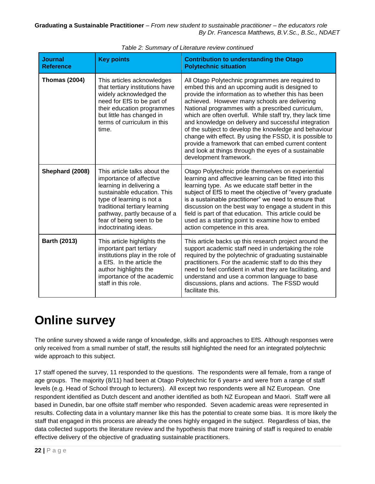| <b>Journal</b><br><b>Reference</b> | <b>Key points</b>                                                                                                                                                                                                                                                     | <b>Contribution to understanding the Otago</b><br><b>Polytechnic situation</b>                                                                                                                                                                                                                                                                                                                                                                                                                                                                                                                                                                     |
|------------------------------------|-----------------------------------------------------------------------------------------------------------------------------------------------------------------------------------------------------------------------------------------------------------------------|----------------------------------------------------------------------------------------------------------------------------------------------------------------------------------------------------------------------------------------------------------------------------------------------------------------------------------------------------------------------------------------------------------------------------------------------------------------------------------------------------------------------------------------------------------------------------------------------------------------------------------------------------|
| <b>Thomas (2004)</b>               | This articles acknowledges<br>that tertiary institutions have<br>widely acknowledged the<br>need for EfS to be part of<br>their education programmes<br>but little has changed in<br>terms of curriculum in this<br>time.                                             | All Otago Polytechnic programmes are required to<br>embed this and an upcoming audit is designed to<br>provide the information as to whether this has been<br>achieved. However many schools are delivering<br>National programmes with a prescribed curriculum,<br>which are often overfull. While staff try, they lack time<br>and knowledge on delivery and successful integration<br>of the subject to develop the knowledge and behaviour<br>change with effect. By using the FSSD, it is possible to<br>provide a framework that can embed current content<br>and look at things through the eyes of a sustainable<br>development framework. |
| Shephard (2008)                    | This article talks about the<br>importance of affective<br>learning in delivering a<br>sustainable education. This<br>type of learning is not a<br>traditional tertiary learning<br>pathway, partly because of a<br>fear of being seen to be<br>indoctrinating ideas. | Otago Polytechnic pride themselves on experiential<br>learning and affective learning can be fitted into this<br>learning type. As we educate staff better in the<br>subject of EfS to meet the objective of "every graduate<br>is a sustainable practitioner" we need to ensure that<br>discussion on the best way to engage a student in this<br>field is part of that education. This article could be<br>used as a starting point to examine how to embed<br>action competence in this area.                                                                                                                                                   |
| <b>Barth (2013)</b>                | This article highlights the<br>important part tertiary<br>institutions play in the role of<br>a EfS. In the article the<br>author highlights the<br>importance of the academic<br>staff in this role.                                                                 | This article backs up this research project around the<br>support academic staff need in undertaking the role<br>required by the polytechnic of graduating sustainable<br>practitioners. For the academic staff to do this they<br>need to feel confident in what they are facilitating, and<br>understand and use a common language to base<br>discussions, plans and actions. The FSSD would<br>facilitate this.                                                                                                                                                                                                                                 |

*Table 2: Summary of Literature review continued*

## <span id="page-21-0"></span>**Online survey**

The online survey showed a wide range of knowledge, skills and approaches to EfS. Although responses were only received from a small number of staff, the results still highlighted the need for an integrated polytechnic wide approach to this subject.

17 staff opened the survey, 11 responded to the questions. The respondents were all female, from a range of age groups. The majority (8/11) had been at Otago Polytechnic for 6 years+ and were from a range of staff levels (e.g. Head of School through to lecturers). All except two respondents were all NZ European. One respondent identified as Dutch descent and another identified as both NZ European and Maori. Staff were all based in Dunedin, bar one offsite staff member who responded. Seven academic areas were represented in results. Collecting data in a voluntary manner like this has the potential to create some bias. It is more likely the staff that engaged in this process are already the ones highly engaged in the subject. Regardless of bias, the data collected supports the literature review and the hypothesis that more training of staff is required to enable effective delivery of the objective of graduating sustainable practitioners.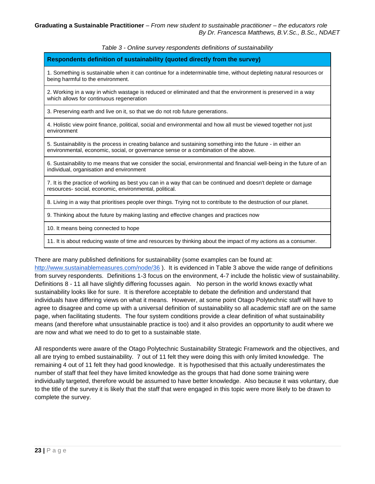*Table 3 - Online survey respondents definitions of sustainability*

#### **Respondents definition of sustainability (quoted directly from the survey)**

1. Something is sustainable when it can continue for a indeterminable time, without depleting natural resources or being harmful to the environment.

2. Working in a way in which wastage is reduced or eliminated and that the environment is preserved in a way which allows for continuous regeneration

3. Preserving earth and live on it, so that we do not rob future generations.

4. Holistic view point finance, political, social and environmental and how all must be viewed together not just environment

5. Sustainability is the process in creating balance and sustaining something into the future - in either an environmental, economic, social, or governance sense or a combination of the above.

6. Sustainability to me means that we consider the social, environmental and financial well-being in the future of an individual, organisation and environment

7. It is the practice of working as best you can in a way that can be continued and doesn't deplete or damage resources- social, economic, environmental, political.

8. Living in a way that prioritises people over things. Trying not to contribute to the destruction of our planet.

9. Thinking about the future by making lasting and effective changes and practices now

10. It means being connected to hope

11. It is about reducing waste of time and resources by thinking about the impact of my actions as a consumer.

There are many published definitions for sustainability (some examples can be found at:

<http://www.sustainablemeasures.com/node/36> ). It is evidenced in Table 3 above the wide range of definitions from survey respondents. Definitions 1-3 focus on the environment, 4-7 include the holistic view of sustainability. Definitions 8 - 11 all have slightly differing focusses again. No person in the world knows exactly what sustainability looks like for sure. It is therefore acceptable to debate the definition and understand that individuals have differing views on what it means. However, at some point Otago Polytechnic staff will have to agree to disagree and come up with a universal definition of sustainability so all academic staff are on the same page, when facilitating students. The four system conditions provide a clear definition of what sustainability means (and therefore what unsustainable practice is too) and it also provides an opportunity to audit where we are now and what we need to do to get to a sustainable state.

All respondents were aware of the Otago Polytechnic Sustainability Strategic Framework and the objectives, and all are trying to embed sustainability. 7 out of 11 felt they were doing this with only limited knowledge. The remaining 4 out of 11 felt they had good knowledge. It is hypothesised that this actually underestimates the number of staff that feel they have limited knowledge as the groups that had done some training were individually targeted, therefore would be assumed to have better knowledge. Also because it was voluntary, due to the title of the survey it is likely that the staff that were engaged in this topic were more likely to be drawn to complete the survey.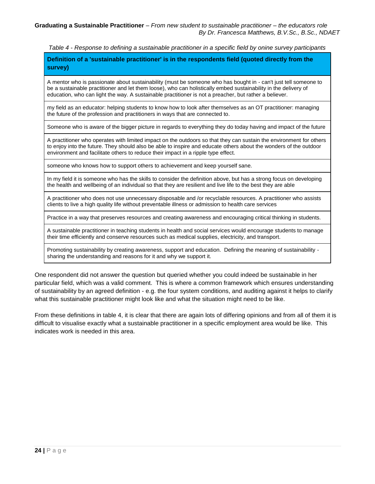*Table 4 - Response to defining a sustainable practitioner in a specific field by onine survey participants*

**Definition of a 'sustainable practitioner' is in the respondents field (quoted directly from the survey)**

A mentor who is passionate about sustainability (must be someone who has bought in - can't just tell someone to be a sustainable practitioner and let them loose), who can holistically embed sustainability in the delivery of education, who can light the way. A sustainable practitioner is not a preacher, but rather a believer.

my field as an educator: helping students to know how to look after themselves as an OT practitioner: managing the future of the profession and practitioners in ways that are connected to.

Someone who is aware of the bigger picture in regards to everything they do today having and impact of the future

A practitioner who operates with limited impact on the outdoors so that they can sustain the environment for others to enjoy into the future. They should also be able to inspire and educate others about the wonders of the outdoor environment and facilitate others to reduce their impact in a ripple type effect.

someone who knows how to support others to achievement and keep yourself sane.

In my field it is someone who has the skills to consider the definition above, but has a strong focus on developing the health and wellbeing of an individual so that they are resilient and live life to the best they are able

A practitioner who does not use unnecessary disposable and /or recyclable resources. A practitioner who assists clients to live a high quality life without preventable illness or admission to health care services

Practice in a way that preserves resources and creating awareness and encouraging critical thinking in students.

A sustainable practitioner in teaching students in health and social services would encourage students to manage their time efficiently and conserve resources such as medical supplies, electricity, and transport.

Promoting sustainability by creating awareness, support and education. Defining the meaning of sustainability sharing the understanding and reasons for it and why we support it.

One respondent did not answer the question but queried whether you could indeed be sustainable in her particular field, which was a valid comment. This is where a common framework which ensures understanding of sustainability by an agreed definition - e.g. the four system conditions, and auditing against it helps to clarify what this sustainable practitioner might look like and what the situation might need to be like.

From these definitions in table 4, it is clear that there are again lots of differing opinions and from all of them it is difficult to visualise exactly what a sustainable practitioner in a specific employment area would be like. This indicates work is needed in this area.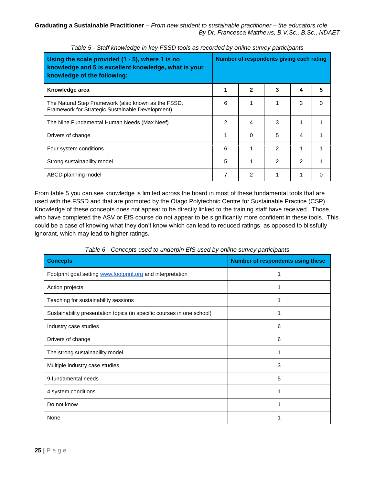| Using the scale provided $(1 - 5)$ , where 1 is no<br>knowledge and 5 is excellent knowledge, what is your<br>knowledge of the following: | Number of respondents giving each rating |              |   |                |   |
|-------------------------------------------------------------------------------------------------------------------------------------------|------------------------------------------|--------------|---|----------------|---|
| Knowledge area                                                                                                                            |                                          | $\mathbf{2}$ | 3 | 4              | 5 |
| The Natural Step Framework (also known as the FSSD,<br>Framework for Strategic Sustainable Development)                                   | 6                                        |              |   | 3              |   |
| The Nine Fundamental Human Needs (Max Neef)                                                                                               | 2                                        | 4            | 3 | 1              |   |
| Drivers of change                                                                                                                         |                                          | 0            | 5 | 4              |   |
| Four system conditions                                                                                                                    | 6                                        |              | 2 | 1              |   |
| Strong sustainability model                                                                                                               | 5                                        |              | 2 | $\overline{2}$ |   |
| ABCD planning model                                                                                                                       | 7                                        | 2            |   | 1              |   |

*Table 5 - Staff knowledge in key FSSD tools as recorded by online survey participants*

From table 5 you can see knowledge is limited across the board in most of these fundamental tools that are used with the FSSD and that are promoted by the Otago Polytechnic Centre for Sustainable Practice (CSP). Knowledge of these concepts does not appear to be directly linked to the training staff have received. Those who have completed the ASV or EfS course do not appear to be significantly more confident in these tools. This could be a case of knowing what they don't know which can lead to reduced ratings, as opposed to blissfully ignorant, which may lead to higher ratings.

| <b>Concepts</b>                                                        | Number of respondents using these |
|------------------------------------------------------------------------|-----------------------------------|
| Footprint goal setting www.footprint.org and interpretation            |                                   |
| Action projects                                                        |                                   |
| Teaching for sustainability sessions                                   |                                   |
| Sustainability presentation topics (in specific courses in one school) |                                   |
| Industry case studies                                                  | 6                                 |
| Drivers of change                                                      | 6                                 |
| The strong sustainability model                                        |                                   |
| Multiple industry case studies                                         | 3                                 |
| 9 fundamental needs                                                    | 5                                 |
| 4 system conditions                                                    |                                   |
| Do not know                                                            |                                   |
| None                                                                   |                                   |

*Table 6 - Concepts used to underpin EfS used by online survey participants*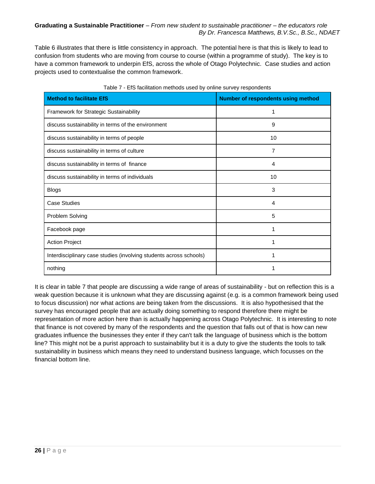Table 6 illustrates that there is little consistency in approach. The potential here is that this is likely to lead to confusion from students who are moving from course to course (within a programme of study). The key is to have a common framework to underpin EfS, across the whole of Otago Polytechnic. Case studies and action projects used to contextualise the common framework.

| <b>Method to facilitate EfS</b>                                    | <b>Number of respondents using method</b> |
|--------------------------------------------------------------------|-------------------------------------------|
| Framework for Strategic Sustainability                             | 1                                         |
| discuss sustainability in terms of the environment                 | 9                                         |
| discuss sustainability in terms of people                          | 10                                        |
| discuss sustainability in terms of culture                         | 7                                         |
| discuss sustainability in terms of finance                         | 4                                         |
| discuss sustainability in terms of individuals                     | 10                                        |
| <b>Blogs</b>                                                       | 3                                         |
| <b>Case Studies</b>                                                | 4                                         |
| Problem Solving                                                    | 5                                         |
| Facebook page                                                      |                                           |
| <b>Action Project</b>                                              |                                           |
| Interdisciplinary case studies (involving students across schools) |                                           |
| nothing                                                            |                                           |

#### Table 7 - EfS facilitation methods used by online survey respondents

It is clear in table 7 that people are discussing a wide range of areas of sustainability - but on reflection this is a weak question because it is unknown what they are discussing against (e.g. is a common framework being used to focus discussion) nor what actions are being taken from the discussions. It is also hypothesised that the survey has encouraged people that are actually doing something to respond therefore there might be representation of more action here than is actually happening across Otago Polytechnic. It is interesting to note that finance is not covered by many of the respondents and the question that falls out of that is how can new graduates influence the businesses they enter if they can't talk the language of business which is the bottom line? This might not be a purist approach to sustainability but it is a duty to give the students the tools to talk sustainability in business which means they need to understand business language, which focusses on the financial bottom line.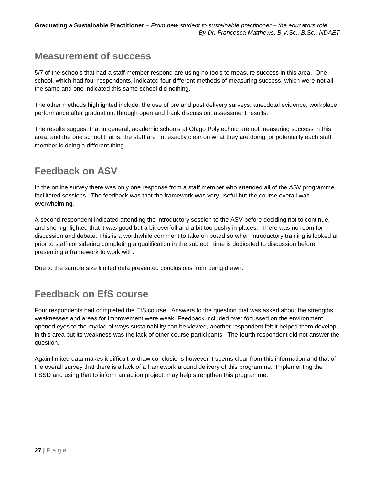## **Measurement of success**

5/7 of the schools that had a staff member respond are using no tools to measure success in this area. One school, which had four respondents, indicated four different methods of measuring success, which were not all the same and one indicated this same school did nothing.

The other methods highlighted include: the use of pre and post delivery surveys; anecdotal evidence; workplace performance after graduation; through open and frank discussion; assessment results.

The results suggest that in general, academic schools at Otago Polytechnic are not measuring success in this area, and the one school that is, the staff are not exactly clear on what they are doing, or potentially each staff member is doing a different thing.

## **Feedback on ASV**

In the online survey there was only one response from a staff member who attended all of the ASV programme facilitated sessions. The feedback was that the framework was very useful but the course overall was overwhelming.

A second respondent indicated attending the introductory session to the ASV before deciding not to continue, and she highlighted that it was good but a bit overfull and a bit too pushy in places. There was no room for discussion and debate. This is a worthwhile comment to take on board so when introductory training is looked at prior to staff considering completing a qualification in the subject, time is dedicated to discussion before presenting a framework to work with.

Due to the sample size limited data prevented conclusions from being drawn.

## **Feedback on EfS course**

Four respondents had completed the EfS course. Answers to the question that was asked about the strengths, weaknesses and areas for improvement were weak. Feedback included over focussed on the environment, opened eyes to the myriad of ways sustainability can be viewed, another respondent felt it helped them develop in this area but its weakness was the lack of other course participants. The fourth respondent did not answer the question.

<span id="page-26-0"></span>Again limited data makes it difficult to draw conclusions however it seems clear from this information and that of the overall survey that there is a lack of a framework around delivery of this programme. Implementing the FSSD and using that to inform an action project, may help strengthen this programme.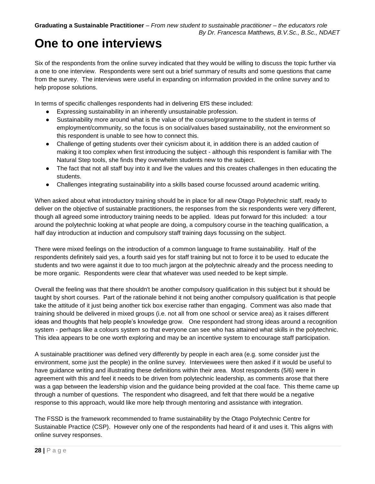## **One to one interviews**

Six of the respondents from the online survey indicated that they would be willing to discuss the topic further via a one to one interview. Respondents were sent out a brief summary of results and some questions that came from the survey. The interviews were useful in expanding on information provided in the online survey and to help propose solutions.

In terms of specific challenges respondents had in delivering EfS these included:

- Expressing sustainability in an inherently unsustainable profession.
- Sustainability more around what is the value of the course/programme to the student in terms of employment/community, so the focus is on social/values based sustainability, not the environment so this respondent is unable to see how to connect this.
- Challenge of getting students over their cynicism about it, in addition there is an added caution of making it too complex when first introducing the subject - although this respondent is familiar with The Natural Step tools, she finds they overwhelm students new to the subject.
- The fact that not all staff buy into it and live the values and this creates challenges in then educating the students.
- Challenges integrating sustainability into a skills based course focussed around academic writing.

When asked about what introductory training should be in place for all new Otago Polytechnic staff, ready to deliver on the objective of sustainable practitioners, the responses from the six respondents were very different, though all agreed some introductory training needs to be applied. Ideas put forward for this included: a tour around the polytechnic looking at what people are doing, a compulsory course in the teaching qualification, a half day introduction at induction and compulsory staff training days focussing on the subject.

There were mixed feelings on the introduction of a common language to frame sustainability. Half of the respondents definitely said yes, a fourth said yes for staff training but not to force it to be used to educate the students and two were against it due to too much jargon at the polytechnic already and the process needing to be more organic. Respondents were clear that whatever was used needed to be kept simple.

Overall the feeling was that there shouldn't be another compulsory qualification in this subject but it should be taught by short courses. Part of the rationale behind it not being another compulsory qualification is that people take the attitude of it just being another tick box exercise rather than engaging. Comment was also made that training should be delivered in mixed groups (i.e. not all from one school or service area) as it raises different ideas and thoughts that help people's knowledge grow. One respondent had strong ideas around a recognition system - perhaps like a colours system so that everyone can see who has attained what skills in the polytechnic. This idea appears to be one worth exploring and may be an incentive system to encourage staff participation.

A sustainable practitioner was defined very differently by people in each area (e.g. some consider just the environment, some just the people) in the online survey. Interviewees were then asked if it would be useful to have guidance writing and illustrating these definitions within their area. Most respondents (5/6) were in agreement with this and feel it needs to be driven from polytechnic leadership, as comments arose that there was a gap between the leadership vision and the guidance being provided at the coal face. This theme came up through a number of questions. The respondent who disagreed, and felt that there would be a negative response to this approach, would like more help through mentoring and assistance with integration.

The FSSD is the framework recommended to frame sustainability by the Otago Polytechnic Centre for Sustainable Practice (CSP). However only one of the respondents had heard of it and uses it. This aligns with online survey responses.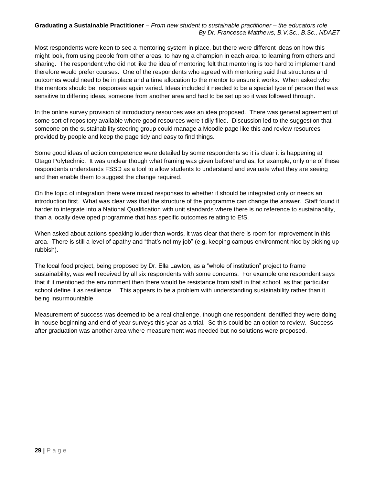Most respondents were keen to see a mentoring system in place, but there were different ideas on how this might look, from using people from other areas, to having a champion in each area, to learning from others and sharing. The respondent who did not like the idea of mentoring felt that mentoring is too hard to implement and therefore would prefer courses. One of the respondents who agreed with mentoring said that structures and outcomes would need to be in place and a time allocation to the mentor to ensure it works. When asked who the mentors should be, responses again varied. Ideas included it needed to be a special type of person that was sensitive to differing ideas, someone from another area and had to be set up so it was followed through.

In the online survey provision of introductory resources was an idea proposed. There was general agreement of some sort of repository available where good resources were tidily filed. Discussion led to the suggestion that someone on the sustainability steering group could manage a Moodle page like this and review resources provided by people and keep the page tidy and easy to find things.

Some good ideas of action competence were detailed by some respondents so it is clear it is happening at Otago Polytechnic. It was unclear though what framing was given beforehand as, for example, only one of these respondents understands FSSD as a tool to allow students to understand and evaluate what they are seeing and then enable them to suggest the change required.

On the topic of integration there were mixed responses to whether it should be integrated only or needs an introduction first. What was clear was that the structure of the programme can change the answer. Staff found it harder to integrate into a National Qualification with unit standards where there is no reference to sustainability, than a locally developed programme that has specific outcomes relating to EfS.

When asked about actions speaking louder than words, it was clear that there is room for improvement in this area. There is still a level of apathy and "that's not my job" (e.g. keeping campus environment nice by picking up rubbish).

The local food project, being proposed by Dr. Ella Lawton, as a "whole of institution" project to frame sustainability, was well received by all six respondents with some concerns. For example one respondent says that if it mentioned the environment then there would be resistance from staff in that school, as that particular school define it as resilience. This appears to be a problem with understanding sustainability rather than it being insurmountable

<span id="page-28-0"></span>Measurement of success was deemed to be a real challenge, though one respondent identified they were doing in-house beginning and end of year surveys this year as a trial. So this could be an option to review. Success after graduation was another area where measurement was needed but no solutions were proposed.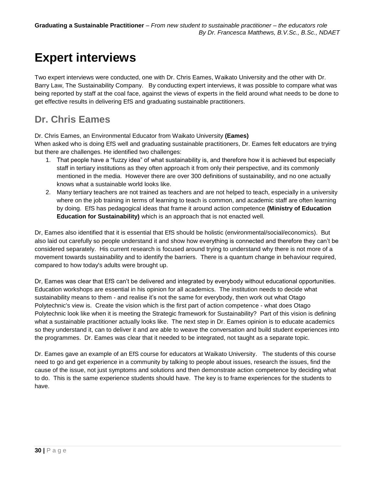## **Expert interviews**

Two expert interviews were conducted, one with Dr. Chris Eames, Waikato University and the other with Dr. Barry Law, The Sustainability Company. By conducting expert interviews, it was possible to compare what was being reported by staff at the coal face, against the views of experts in the field around what needs to be done to get effective results in delivering EfS and graduating sustainable practitioners.

## **Dr. Chris Eames**

Dr. Chris Eames, an Environmental Educator from Waikato University **(Eames)**

When asked who is doing EfS well and graduating sustainable practitioners, Dr. Eames felt educators are trying but there are challenges. He identified two challenges:

- 1. That people have a "fuzzy idea" of what sustainability is, and therefore how it is achieved but especially staff in tertiary institutions as they often approach it from only their perspective, and its commonly mentioned in the media. However there are over 300 definitions of sustainability, and no one actually knows what a sustainable world looks like.
- 2. Many tertiary teachers are not trained as teachers and are not helped to teach, especially in a university where on the job training in terms of learning to teach is common, and academic staff are often learning by doing. EfS has pedagogical ideas that frame it around action competence **(Ministry of Education Education for Sustainability)** which is an approach that is not enacted well.

Dr, Eames also identified that it is essential that EfS should be holistic (environmental/social/economics). But also laid out carefully so people understand it and show how everything is connected and therefore they can't be considered separately. His current research is focused around trying to understand why there is not more of a movement towards sustainability and to identify the barriers. There is a quantum change in behaviour required, compared to how today's adults were brought up.

Dr, Eames was clear that EfS can't be delivered and integrated by everybody without educational opportunities. Education workshops are essential in his opinion for all academics. The institution needs to decide what sustainability means to them - and realise it's not the same for everybody, then work out what Otago Polytechnic's view is. Create the vision which is the first part of action competence - what does Otago Polytechnic look like when it is meeting the Strategic framework for Sustainability? Part of this vision is defining what a sustainable practitioner actually looks like. The next step in Dr. Eames opinion is to educate academics so they understand it, can to deliver it and are able to weave the conversation and build student experiences into the programmes. Dr. Eames was clear that it needed to be integrated, not taught as a separate topic.

Dr. Eames gave an example of an EfS course for educators at Waikato University. The students of this course need to go and get experience in a community by talking to people about issues, research the issues, find the cause of the issue, not just symptoms and solutions and then demonstrate action competence by deciding what to do. This is the same experience students should have. The key is to frame experiences for the students to have.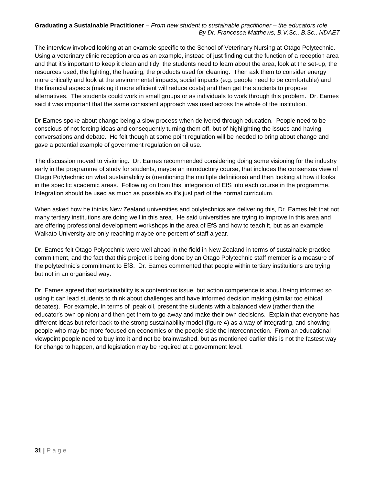The interview involved looking at an example specific to the School of Veterinary Nursing at Otago Polytechnic. Using a veterinary clinic reception area as an example, instead of just finding out the function of a reception area and that it's important to keep it clean and tidy, the students need to learn about the area, look at the set-up, the resources used, the lighting, the heating, the products used for cleaning. Then ask them to consider energy more critically and look at the environmental impacts, social impacts (e.g. people need to be comfortable) and the financial aspects (making it more efficient will reduce costs) and then get the students to propose alternatives. The students could work in small groups or as individuals to work through this problem. Dr. Eames said it was important that the same consistent approach was used across the whole of the institution.

Dr Eames spoke about change being a slow process when delivered through education. People need to be conscious of not forcing ideas and consequently turning them off, but of highlighting the issues and having conversations and debate. He felt though at some point regulation will be needed to bring about change and gave a potential example of government regulation on oil use.

The discussion moved to visioning. Dr. Eames recommended considering doing some visioning for the industry early in the programme of study for students, maybe an introductory course, that includes the consensus view of Otago Polytechnic on what sustainability is (mentioning the multiple definitions) and then looking at how it looks in the specific academic areas. Following on from this, integration of EfS into each course in the programme. Integration should be used as much as possible so it's just part of the normal curriculum.

When asked how he thinks New Zealand universities and polytechnics are delivering this, Dr. Eames felt that not many tertiary institutions are doing well in this area. He said universities are trying to improve in this area and are offering professional development workshops in the area of EfS and how to teach it, but as an example Waikato University are only reaching maybe one percent of staff a year.

Dr. Eames felt Otago Polytechnic were well ahead in the field in New Zealand in terms of sustainable practice commitment, and the fact that this project is being done by an Otago Polytechnic staff member is a measure of the polytechnic's commitment to EfS. Dr. Eames commented that people within tertiary instituitions are trying but not in an organised way.

Dr. Eames agreed that sustainability is a contentious issue, but action competence is about being informed so using it can lead students to think about challenges and have informed decision making (similar too ethical debates). For example, in terms of peak oil, present the students with a balanced view (rather than the educator's own opinion) and then get them to go away and make their own decisions. Explain that everyone has different ideas but refer back to the strong sustainability model (figure 4) as a way of integrating, and showing people who may be more focused on economics or the people side the interconnection. From an educational viewpoint people need to buy into it and not be brainwashed, but as mentioned earlier this is not the fastest way for change to happen, and legislation may be required at a government level.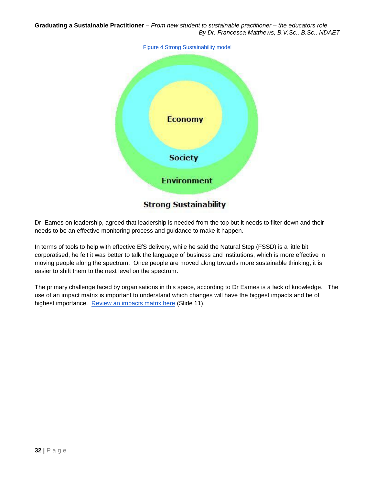

Dr. Eames on leadership, agreed that leadership is needed from the top but it needs to filter down and their needs to be an effective monitoring process and guidance to make it happen.

In terms of tools to help with effective EfS delivery, while he said the Natural Step (FSSD) is a little bit corporatised, he felt it was better to talk the language of business and institutions, which is more effective in moving people along the spectrum. Once people are moved along towards more sustainable thinking, it is easier to shift them to the next level on the spectrum.

The primary challenge faced by organisations in this space, according to Dr Eames is a lack of knowledge. The use of an impact matrix is important to understand which changes will have the biggest impacts and be of highest importance. [Review an impacts matrix here](http://prezi.com/wgcgvublsvky/?utm_campaign=share&utm_medium=copy) (Slide 11).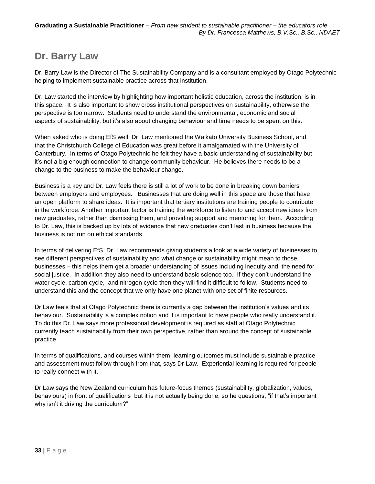## **Dr. Barry Law**

Dr. Barry Law is the Director of The Sustainability Company and is a consultant employed by Otago Polytechnic helping to implement sustainable practice across that institution.

Dr. Law started the interview by highlighting how important holistic education, across the institution, is in this space. It is also important to show cross institutional perspectives on sustainability, otherwise the perspective is too narrow. Students need to understand the environmental, economic and social aspects of sustainability, but it's also about changing behaviour and time needs to be spent on this.

When asked who is doing EfS well, Dr. Law mentioned the Waikato University Business School, and that the Christchurch College of Education was great before it amalgamated with the University of Canterbury. In terms of Otago Polytechnic he felt they have a basic understanding of sustainability but it's not a big enough connection to change community behaviour. He believes there needs to be a change to the business to make the behaviour change.

Business is a key and Dr. Law feels there is still a lot of work to be done in breaking down barriers between employers and employees. Businesses that are doing well in this space are those that have an open platform to share ideas. It is important that tertiary institutions are training people to contribute in the workforce. Another important factor is training the workforce to listen to and accept new ideas from new graduates, rather than dismissing them, and providing support and mentoring for them. According to Dr. Law, this is backed up by lots of evidence that new graduates don't last in business because the business is not run on ethical standards.

In terms of delivering EfS, Dr. Law recommends giving students a look at a wide variety of businesses to see different perspectives of sustainability and what change or sustainability might mean to those businesses – this helps them get a broader understanding of issues including inequity and the need for social justice. In addition they also need to understand basic science too. If they don't understand the water cycle, carbon cycle, and nitrogen cycle then they will find it difficult to follow. Students need to understand this and the concept that we only have one planet with one set of finite resources.

Dr Law feels that at Otago Polytechnic there is currently a gap between the institution's values and its behaviour. Sustainability is a complex notion and it is important to have people who really understand it. To do this Dr. Law says more professional development is required as staff at Otago Polytechnic currently teach sustainability from their own perspective, rather than around the concept of sustainable practice.

In terms of qualifications, and courses within them, learning outcomes must include sustainable practice and assessment must follow through from that, says Dr Law. Experiential learning is required for people to really connect with it.

Dr Law says the New Zealand curriculum has future-focus themes (sustainability, globalization, values, behaviours) in front of qualifications but it is not actually being done, so he questions, "if that's important why isn't it driving the curriculum?".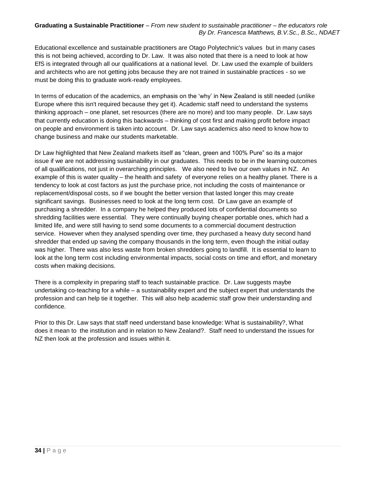Educational excellence and sustainable practitioners are Otago Polytechnic's values but in many cases this is not being achieved, according to Dr. Law. It was also noted that there is a need to look at how EfS is integrated through all our qualifications at a national level. Dr. Law used the example of builders and architects who are not getting jobs because they are not trained in sustainable practices - so we must be doing this to graduate work-ready employees.

In terms of education of the academics, an emphasis on the 'why' in New Zealand is still needed (unlike Europe where this isn't required because they get it). Academic staff need to understand the systems thinking approach – one planet, set resources (there are no more) and too many people. Dr. Law says that currently education is doing this backwards – thinking of cost first and making profit before impact on people and environment is taken into account. Dr. Law says academics also need to know how to change business and make our students marketable.

Dr Law highlighted that New Zealand markets itself as "clean, green and 100% Pure" so its a major issue if we are not addressing sustainability in our graduates. This needs to be in the learning outcomes of all qualifications, not just in overarching principles. We also need to live our own values in NZ. An example of this is water quality – the health and safety of everyone relies on a healthy planet. There is a tendency to look at cost factors as just the purchase price, not including the costs of maintenance or replacement/disposal costs, so if we bought the better version that lasted longer this may create significant savings. Businesses need to look at the long term cost. Dr Law gave an example of purchasing a shredder. In a company he helped they produced lots of confidential documents so shredding facilities were essential. They were continually buying cheaper portable ones, which had a limited life, and were still having to send some documents to a commercial document destruction service. However when they analysed spending over time, they purchased a heavy duty second hand shredder that ended up saving the company thousands in the long term, even though the initial outlay was higher. There was also less waste from broken shredders going to landfill. It is essential to learn to look at the long term cost including environmental impacts, social costs on time and effort, and monetary costs when making decisions.

There is a complexity in preparing staff to teach sustainable practice. Dr. Law suggests maybe undertaking co-teaching for a while – a sustainability expert and the subject expert that understands the profession and can help tie it together. This will also help academic staff grow their understanding and confidence.

Prior to this Dr. Law says that staff need understand base knowledge: What is sustainability?, What does it mean to the institution and in relation to New Zealand?. Staff need to understand the issues for NZ then look at the profession and issues within it.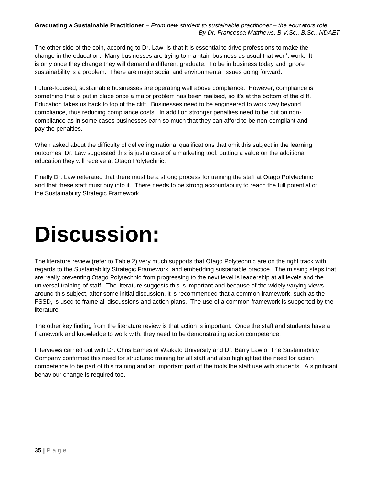The other side of the coin, according to Dr. Law, is that it is essential to drive professions to make the change in the education. Many businesses are trying to maintain business as usual that won't work. It is only once they change they will demand a different graduate. To be in business today and ignore sustainability is a problem. There are major social and environmental issues going forward.

Future-focused, sustainable businesses are operating well above compliance. However, compliance is something that is put in place once a major problem has been realised, so it's at the bottom of the cliff. Education takes us back to top of the cliff. Businesses need to be engineered to work way beyond compliance, thus reducing compliance costs. In addition stronger penalties need to be put on noncompliance as in some cases businesses earn so much that they can afford to be non-compliant and pay the penalties.

When asked about the difficulty of delivering national qualifications that omit this subject in the learning outcomes, Dr. Law suggested this is just a case of a marketing tool, putting a value on the additional education they will receive at Otago Polytechnic.

Finally Dr. Law reiterated that there must be a strong process for training the staff at Otago Polytechnic and that these staff must buy into it. There needs to be strong accountability to reach the full potential of the Sustainability Strategic Framework.

# <span id="page-34-0"></span>**Discussion:**

The literature review (refer to Table 2) very much supports that Otago Polytechnic are on the right track with regards to the Sustainability Strategic Framework and embedding sustainable practice. The missing steps that are really preventing Otago Polytechnic from progressing to the next level is leadership at all levels and the universal training of staff. The literature suggests this is important and because of the widely varying views around this subject, after some initial discussion, it is recommended that a common framework, such as the FSSD, is used to frame all discussions and action plans. The use of a common framework is supported by the literature.

The other key finding from the literature review is that action is important. Once the staff and students have a framework and knowledge to work with, they need to be demonstrating action competence.

Interviews carried out with Dr. Chris Eames of Waikato University and Dr. Barry Law of The Sustainability Company confirmed this need for structured training for all staff and also highlighted the need for action competence to be part of this training and an important part of the tools the staff use with students. A significant behaviour change is required too.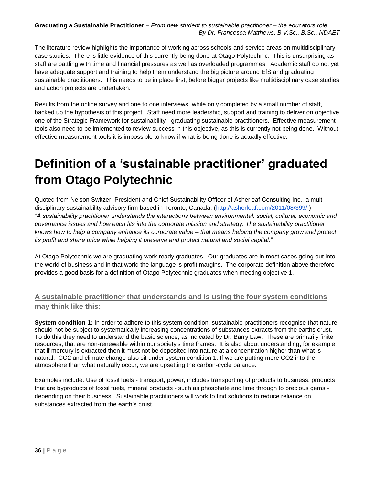The literature review highlights the importance of working across schools and service areas on multidisciplinary case studies. There is little evidence of this currently being done at Otago Polytechnic. This is unsurprising as staff are battling with time and financial pressures as well as overloaded programmes. Academic staff do not yet have adequate support and training to help them understand the big picture around EfS and graduating sustainable practitioners. This needs to be in place first, before bigger projects like multidisciplinary case studies and action projects are undertaken.

Results from the online survey and one to one interviews, while only completed by a small number of staff, backed up the hypothesis of this project. Staff need more leadership, support and training to deliver on objective one of the Strategic Framework for sustainability - graduating sustainable practitioners. Effective measurement tools also need to be imlemented to review success in this objective, as this is currently not being done. Without effective measurement tools it is impossible to know if what is being done is actually effective.

# <span id="page-35-0"></span>**Definition of a 'sustainable practitioner' graduated from Otago Polytechnic**

Quoted from Nelson Switzer, President and Chief Sustainability Officer of Asherleaf Consulting Inc., a multidisciplinary sustainability advisory firm based in Toronto, Canada. [\(http://asherleaf.com/2011/08/399/](http://asherleaf.com/2011/08/399/) ) *"A sustainability practitioner understands the interactions between environmental, social, cultural, economic and governance issues and how each fits into the corporate mission and strategy. The sustainability practitioner knows how to help a company enhance its corporate value – that means helping the company grow and protect its profit and share price while helping it preserve and protect natural and social capital."*

At Otago Polytechnic we are graduating work ready graduates. Our graduates are in most cases going out into the world of business and in that world the language is profit margins. The corporate definition above therefore provides a good basis for a definition of Otago Polytechnic graduates when meeting objective 1.

### **A sustainable practitioner that understands and is using the four system conditions may think like this:**

**System condition 1:** In order to adhere to this system condition, sustainable practitioners recognise that nature should not be subject to systematically increasing concentrations of substances extracts from the earths crust. To do this they need to understand the basic science, as indicated by Dr. Barry Law. These are primarily finite resources, that are non-renewable within our society's time frames. It is also about understanding, for example, that if mercury is extracted then it must not be deposited into nature at a concentration higher than what is natural. CO2 and climate change also sit under system condition 1. If we are putting more CO2 into the atmosphere than what naturally occur, we are upsetting the carbon-cycle balance.

Examples include: Use of fossil fuels - transport, power, includes transporting of products to business, products that are byproducts of fossil fuels, mineral products - such as phosphate and lime through to precious gems depending on their business. Sustainable practitioners will work to find solutions to reduce reliance on substances extracted from the earth's crust.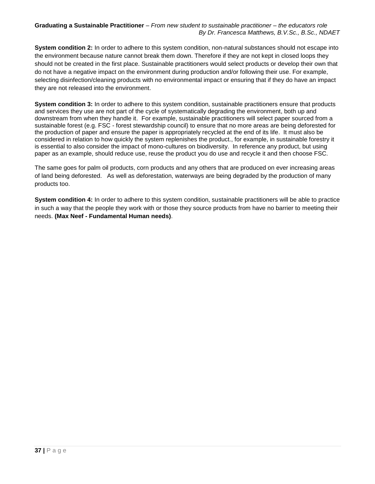**System condition 2:** In order to adhere to this system condition, non-natural substances should not escape into the environment because nature cannot break them down. Therefore if they are not kept in closed loops they should not be created in the first place. Sustainable practitioners would select products or develop their own that do not have a negative impact on the environment during production and/or following their use. For example, selecting disinfection/cleaning products with no environmental impact or ensuring that if they do have an impact they are not released into the environment.

**System condition 3:** In order to adhere to this system condition, sustainable practitioners ensure that products and services they use are not part of the cycle of systematically degrading the environment, both up and downstream from when they handle it. For example, sustainable practitioners will select paper sourced from a sustainable forest (e.g. FSC - forest stewardship council) to ensure that no more areas are being deforested for the production of paper and ensure the paper is appropriately recycled at the end of its life. It must also be considered in relation to how quickly the system replenishes the product., for example, in sustainable forestry it is essential to also consider the impact of mono-cultures on biodiversity. In reference any product, but using paper as an example, should reduce use, reuse the product you do use and recycle it and then choose FSC.

The same goes for palm oil products, corn products and any others that are produced on ever increasing areas of land being deforested. As well as deforestation, waterways are being degraded by the production of many products too.

<span id="page-36-0"></span>**System condition 4:** In order to adhere to this system condition, sustainable practitioners will be able to practice in such a way that the people they work with or those they source products from have no barrier to meeting their needs. **(Max Neef - Fundamental Human needs)**.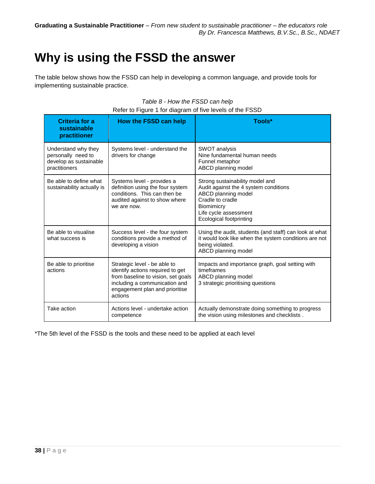## **Why is using the FSSD the answer**

The table below shows how the FSSD can help in developing a common language, and provide tools for implementing sustainable practice.

| Criteria for a<br>sustainable<br>practitioner                                        | How the FSSD can help                                                                                                                                                                | Tools*                                                                                                                                                                                       |
|--------------------------------------------------------------------------------------|--------------------------------------------------------------------------------------------------------------------------------------------------------------------------------------|----------------------------------------------------------------------------------------------------------------------------------------------------------------------------------------------|
| Understand why they<br>personally need to<br>develop as sustainable<br>practitioners | Systems level - understand the<br>drivers for change                                                                                                                                 | <b>SWOT</b> analysis<br>Nine fundamental human needs<br>Funnel metaphor<br>ABCD planning model                                                                                               |
| Be able to define what<br>sustainability actually is                                 | Systems level - provides a<br>definition using the four system<br>conditions. This can then be<br>audited against to show where<br>we are now.                                       | Strong sustainability model and<br>Audit against the 4 system conditions<br>ABCD planning model<br>Cradle to cradle<br>Biomimicry<br>Life cycle assessment<br><b>Ecological footprinting</b> |
| Be able to visualise<br>what success is                                              | Success level - the four system<br>conditions provide a method of<br>developing a vision                                                                                             | Using the audit, students (and staff) can look at what<br>it would look like when the system conditions are not<br>being violated.<br>ABCD planning model                                    |
| Be able to prioritise<br>actions                                                     | Strategic level - be able to<br>identify actions required to get<br>from baseline to vision, set goals<br>including a communication and<br>engagement plan and prioritise<br>actions | Impacts and importance graph, goal setting with<br>timeframes<br>ABCD planning model<br>3 strategic prioritising questions                                                                   |
| Take action                                                                          | Actions level - undertake action<br>competence                                                                                                                                       | Actually demonstrate doing something to progress<br>the vision using milestones and checklists.                                                                                              |

### *Table 8 - How the FSSD can help* Refer to Figure 1 for diagram of five levels of the FSSD

<span id="page-37-0"></span>\*The 5th level of the FSSD is the tools and these need to be applied at each level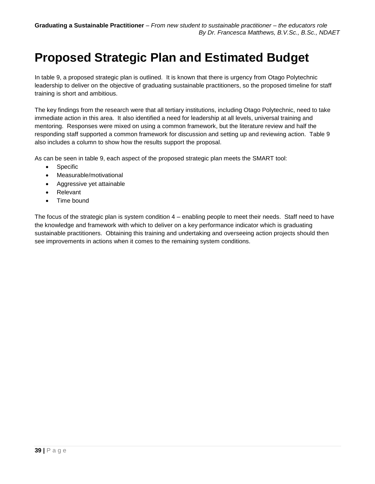## **Proposed Strategic Plan and Estimated Budget**

In table 9, a proposed strategic plan is outlined. It is known that there is urgency from Otago Polytechnic leadership to deliver on the objective of graduating sustainable practitioners, so the proposed timeline for staff training is short and ambitious.

The key findings from the research were that all tertiary institutions, including Otago Polytechnic, need to take immediate action in this area. It also identified a need for leadership at all levels, universal training and mentoring. Responses were mixed on using a common framework, but the literature review and half the responding staff supported a common framework for discussion and setting up and reviewing action. Table 9 also includes a column to show how the results support the proposal.

As can be seen in table 9, each aspect of the proposed strategic plan meets the SMART tool:

- Specific
- Measurable/motivational
- Aggressive yet attainable
- Relevant
- Time bound

The focus of the strategic plan is system condition 4 – enabling people to meet their needs. Staff need to have the knowledge and framework with which to deliver on a key performance indicator which is graduating sustainable practitioners. Obtaining this training and undertaking and overseeing action projects should then see improvements in actions when it comes to the remaining system conditions.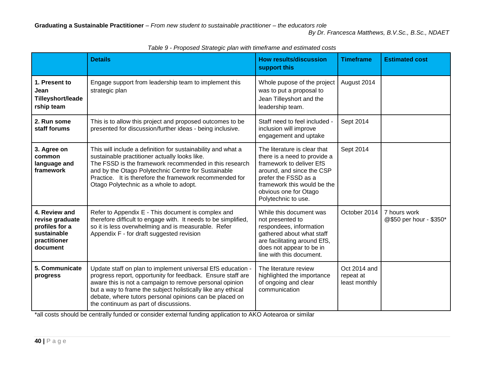|                                                                                               | <b>Details</b>                                                                                                                                                                                                                                                                                                                                            | <b>How results/discussion</b><br>support this                                                                                                                                                                                | <b>Timeframe</b>                           | <b>Estimated cost</b>                   |
|-----------------------------------------------------------------------------------------------|-----------------------------------------------------------------------------------------------------------------------------------------------------------------------------------------------------------------------------------------------------------------------------------------------------------------------------------------------------------|------------------------------------------------------------------------------------------------------------------------------------------------------------------------------------------------------------------------------|--------------------------------------------|-----------------------------------------|
| 1. Present to<br>Jean<br>Tilleyshort/leade<br>rship team                                      | Engage support from leadership team to implement this<br>strategic plan                                                                                                                                                                                                                                                                                   | Whole pupose of the project<br>was to put a proposal to<br>Jean Tilleyshort and the<br>leadership team.                                                                                                                      | August 2014                                |                                         |
| 2. Run some<br>staff forums                                                                   | This is to allow this project and proposed outcomes to be<br>presented for discussion/further ideas - being inclusive.                                                                                                                                                                                                                                    | Staff need to feel included -<br>inclusion will improve<br>engagement and uptake                                                                                                                                             | Sept 2014                                  |                                         |
| 3. Agree on<br>common<br>language and<br>framework                                            | This will include a definition for sustainability and what a<br>sustainable practitioner actually looks like.<br>The FSSD is the framework recommended in this research<br>and by the Otago Polytechnic Centre for Sustainable<br>Practice. It is therefore the framework recommended for<br>Otago Polytechnic as a whole to adopt.                       | The literature is clear that<br>there is a need to provide a<br>framework to deliver EfS<br>around, and since the CSP<br>prefer the FSSD as a<br>framework this would be the<br>obvious one for Otago<br>Polytechnic to use. | Sept 2014                                  |                                         |
| 4. Review and<br>revise graduate<br>profiles for a<br>sustainable<br>practitioner<br>document | Refer to Appendix E - This document is complex and<br>therefore difficult to engage with. It needs to be simplified,<br>so it is less overwhelming and is measurable. Refer<br>Appendix F - for draft suggested revision                                                                                                                                  | While this document was<br>not presented to<br>respondees, information<br>gathered about what staff<br>are facilitating around EfS,<br>does not appear to be in<br>line with this document.                                  | October 2014                               | 7 hours work<br>@\$50 per hour - \$350* |
| 5. Communicate<br>progress                                                                    | Update staff on plan to implement universal EfS education -<br>progress report, opportunity for feedback. Ensure staff are<br>aware this is not a campaign to remove personal opinion<br>but a way to frame the subject holistically like any ethical<br>debate, where tutors personal opinions can be placed on<br>the continuum as part of discussions. | The literature review<br>highlighted the importance<br>of ongoing and clear<br>communication                                                                                                                                 | Oct 2014 and<br>repeat at<br>least monthly |                                         |

*Table 9 - Proposed Strategic plan with timeframe and estimated costs*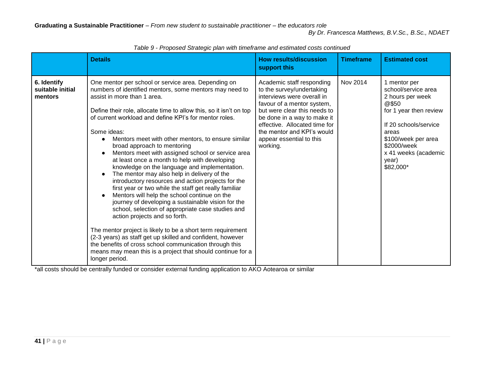|                                            | <b>Details</b>                                                                                                                                                                                                                                                                                                                                                                                                                                                                                                                                                                                                                                                                                                                                                                                                                                                                                                                                                                                                                                                                                                                                                              | <b>How results/discussion</b><br>support this                                                                                                                                                                                                                                            | <b>Timeframe</b> | <b>Estimated cost</b>                                                                                                                                                                                            |
|--------------------------------------------|-----------------------------------------------------------------------------------------------------------------------------------------------------------------------------------------------------------------------------------------------------------------------------------------------------------------------------------------------------------------------------------------------------------------------------------------------------------------------------------------------------------------------------------------------------------------------------------------------------------------------------------------------------------------------------------------------------------------------------------------------------------------------------------------------------------------------------------------------------------------------------------------------------------------------------------------------------------------------------------------------------------------------------------------------------------------------------------------------------------------------------------------------------------------------------|------------------------------------------------------------------------------------------------------------------------------------------------------------------------------------------------------------------------------------------------------------------------------------------|------------------|------------------------------------------------------------------------------------------------------------------------------------------------------------------------------------------------------------------|
| 6. Identify<br>suitable initial<br>mentors | One mentor per school or service area. Depending on<br>numbers of identified mentors, some mentors may need to<br>assist in more than 1 area.<br>Define their role, allocate time to allow this, so it isn't on top<br>of current workload and define KPI's for mentor roles.<br>Some ideas:<br>Mentors meet with other mentors, to ensure similar<br>broad approach to mentoring<br>Mentors meet with assigned school or service area<br>at least once a month to help with developing<br>knowledge on the language and implementation.<br>The mentor may also help in delivery of the<br>introductory resources and action projects for the<br>first year or two while the staff get really familiar<br>Mentors will help the school continue on the<br>journey of developing a sustainable vision for the<br>school, selection of appropriate case studies and<br>action projects and so forth.<br>The mentor project is likely to be a short term requirement<br>(2-3 years) as staff get up skilled and confident, however<br>the benefits of cross school communication through this<br>means may mean this is a project that should continue for a<br>longer period. | Academic staff responding<br>to the survey/undertaking<br>interviews were overall in<br>favour of a mentor system,<br>but were clear this needs to<br>be done in a way to make it<br>effective. Allocated time for<br>the mentor and KPI's would<br>appear essential to this<br>working. | Nov 2014         | 1 mentor per<br>school/service area<br>2 hours per week<br>@\$50<br>for 1 year then review<br>If 20 schools/service<br>areas<br>\$100/week per area<br>\$2000/week<br>x 41 weeks (academic<br>year)<br>\$82,000* |

*Table 9 - Proposed Strategic plan with timeframe and estimated costs continued*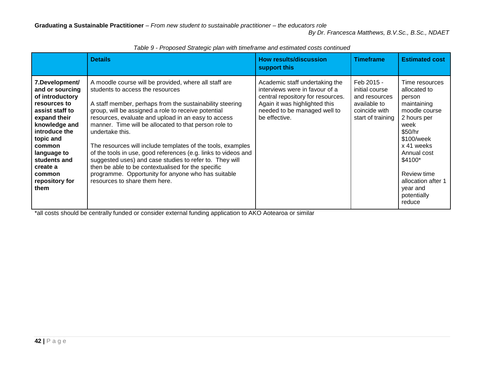|                                                                                                                                                                                                                                                 | <b>Details</b>                                                                                                                                                                                                                                                                                                                                                                                                                                                                                                                                                                                                                                                                           | <b>How results/discussion</b><br>support this                                                                                                                                           | <b>Timeframe</b>                                                                                    | <b>Estimated cost</b>                                                                                                                                                                                                                      |
|-------------------------------------------------------------------------------------------------------------------------------------------------------------------------------------------------------------------------------------------------|------------------------------------------------------------------------------------------------------------------------------------------------------------------------------------------------------------------------------------------------------------------------------------------------------------------------------------------------------------------------------------------------------------------------------------------------------------------------------------------------------------------------------------------------------------------------------------------------------------------------------------------------------------------------------------------|-----------------------------------------------------------------------------------------------------------------------------------------------------------------------------------------|-----------------------------------------------------------------------------------------------------|--------------------------------------------------------------------------------------------------------------------------------------------------------------------------------------------------------------------------------------------|
| 7.Development/<br>and or sourcing<br>of introductory<br>resources to<br>assist staff to<br>expand their<br>knowledge and<br>introduce the<br>topic and<br>common<br>language to<br>students and<br>create a<br>common<br>repository for<br>them | A moodle course will be provided, where all staff are<br>students to access the resources<br>A staff member, perhaps from the sustainability steering<br>group, will be assigned a role to receive potential<br>resources, evaluate and upload in an easy to access<br>manner. Time will be allocated to that person role to<br>undertake this.<br>The resources will include templates of the tools, examples<br>of the tools in use, good references (e.g. links to videos and<br>suggested uses) and case studies to refer to. They will<br>then be able to be contextualised for the specific<br>programme. Opportunity for anyone who has suitable<br>resources to share them here. | Academic staff undertaking the<br>interviews were in favour of a<br>central repository for resources.<br>Again it was highlighted this<br>needed to be managed well to<br>be effective. | Feb 2015 -<br>initial course<br>and resources<br>available to<br>coincide with<br>start of training | Time resources<br>allocated to<br>person<br>maintaining<br>moodle course<br>2 hours per<br>week<br>\$50/hr<br>\$100/week<br>x 41 weeks<br>Annual cost<br>\$4100*<br>Review time<br>allocation after 1<br>year and<br>potentially<br>reduce |

*Table 9 - Proposed Strategic plan with timeframe and estimated costs continued*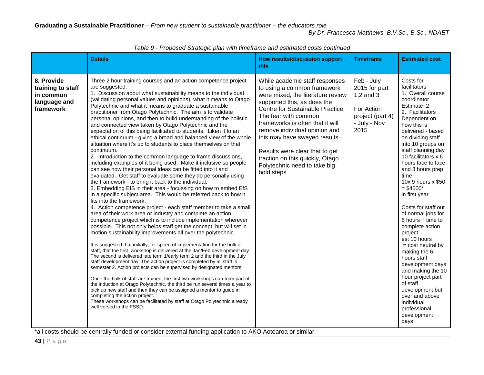|                                                                           | <b>Details</b>                                                                                                                                                                                                                                                                                                                                                                                                                                                                                                                                                                                                                                                                                                                                                                                                                                                                                                                                                                                                                                                                                                                                                                                                                                                                                                                                                                                                                                                                                                                                                                                                                                                                                                                                                                                                                                                                                                                                                                                                                                                                                                                                                                                                                                                                                                                       | How results/discussion support<br>this.                                                                                                                                                                                                                                                                                                                                                                                | <b>Timeframe</b>                                                                                       | <b>Estimated cost</b>                                                                                                                                                                                                                                                                                                                                                                                                                                                                                                                                                                                                                                                                            |
|---------------------------------------------------------------------------|--------------------------------------------------------------------------------------------------------------------------------------------------------------------------------------------------------------------------------------------------------------------------------------------------------------------------------------------------------------------------------------------------------------------------------------------------------------------------------------------------------------------------------------------------------------------------------------------------------------------------------------------------------------------------------------------------------------------------------------------------------------------------------------------------------------------------------------------------------------------------------------------------------------------------------------------------------------------------------------------------------------------------------------------------------------------------------------------------------------------------------------------------------------------------------------------------------------------------------------------------------------------------------------------------------------------------------------------------------------------------------------------------------------------------------------------------------------------------------------------------------------------------------------------------------------------------------------------------------------------------------------------------------------------------------------------------------------------------------------------------------------------------------------------------------------------------------------------------------------------------------------------------------------------------------------------------------------------------------------------------------------------------------------------------------------------------------------------------------------------------------------------------------------------------------------------------------------------------------------------------------------------------------------------------------------------------------------|------------------------------------------------------------------------------------------------------------------------------------------------------------------------------------------------------------------------------------------------------------------------------------------------------------------------------------------------------------------------------------------------------------------------|--------------------------------------------------------------------------------------------------------|--------------------------------------------------------------------------------------------------------------------------------------------------------------------------------------------------------------------------------------------------------------------------------------------------------------------------------------------------------------------------------------------------------------------------------------------------------------------------------------------------------------------------------------------------------------------------------------------------------------------------------------------------------------------------------------------------|
| 8. Provide<br>training to staff<br>in common<br>language and<br>framework | Three 2 hour training courses and an action competence project<br>are suggested:<br>1. Discussion about what sustainability means to the individual<br>(validating personal values and opinions), what it means to Otago<br>Polytechnic and what it means to graduate a sustainable<br>practitioner from Otago Polytechnic. The aim is to validate<br>personal opinions, and then to build understanding of the holistic<br>and connected view taken by Otago Polytechnic and the<br>expectation of this being facilitated to students. Liken it to an<br>ethical continuum - giving a broad and balanced view of the whole<br>situation where it's up to students to place themselves on that<br>continuum.<br>2. Introduction to the common language to frame discussions,<br>including examples of it being used. Make it inclusive so people<br>can see how their personal ideas can be fitted into it and<br>evaluated. Get staff to evaluate some they do personally using<br>the framework - to bring it back to the individual.<br>3. Embedding EfS in their area - focussing on how to embed EfS<br>in a specific subject area. This would be referred back to how it<br>fits into the framework.<br>4. Action competence project - each staff member to take a small<br>area of their work area or industry and complete an action<br>competence project which is to include implementation wherever<br>possible. This not only helps staff get the concept, but will set in<br>motion sustainability improvements all over the polytechnic.<br>It is suggested that initially, for speed of implementation for the bulk of<br>staff, that the first workshop is delivered at the Jan/Feb development day<br>The second is delivered late term 1/early term 2 and the third in the July<br>staff development day. The action project is completed by all staff in<br>semester 2. Action projects can be supervised by designated mentors<br>Once the bulk of staff are trained, the first two workshops can form part of<br>the induction at Otago Polytechnic, the third be run several times a year to<br>pick up new staff and then they can be assigned a mentor to guide in<br>completing the action project.<br>These workshops can be facilitated by staff at Otago Polytechnic already<br>well versed in the FSSD. | While academic staff responses<br>to using a common framework<br>were mixed, the literature review<br>supported this, as does the<br>Centre for Sustainable Practice.<br>The fear with common<br>frameworks is often that it will<br>remove individual opinion and<br>this may have swayed results.<br>Results were clear that to get<br>traction on this quickly, Otago<br>Polytechnic need to take big<br>bold steps | Feb - July<br>2015 for part<br>$1,2$ and $3$<br>For Action<br>project (part 4)<br>- July - Nov<br>2015 | Costs for<br>facilitators<br>1. Overall course<br>coordinator<br>Estimate 2<br>2. Facilitators<br>Dependent on<br>how this is<br>delivered - based<br>on dividing staff<br>into 10 groups on<br>staff planning day<br>10 facilitators x 6<br>hours face to face<br>and 3 hours prep<br>time<br>10x 9 hours x \$50<br>$=$ \$4500*<br>in first year<br>Costs for staff out<br>of normal jobs for<br>$6$ hours $+$ time to<br>complete action<br>project<br>est 10 hours<br>$=$ cost neutral by<br>making the 6<br>hours staff<br>development days<br>and making the 10<br>hour project part<br>of staff<br>development but<br>over and above<br>individual<br>professional<br>development<br>days. |

*Table 9 - Proposed Strategic plan with timeframe and estimated costs continued*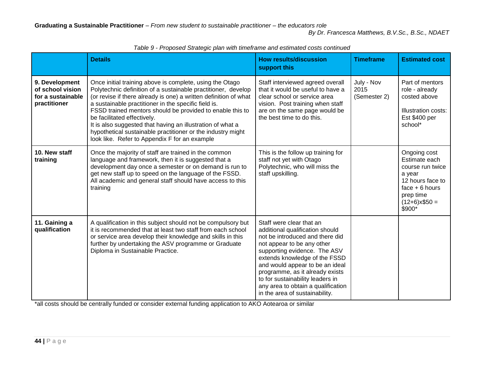|                                                                         | <b>Details</b>                                                                                                                                                                                                                                                                                                                                                                                                                                                                                                                  | <b>How results/discussion</b><br>support this                                                                                                                                                                                                                                                                                                                                   | <b>Timeframe</b>                   | <b>Estimated cost</b>                                                                                                                          |
|-------------------------------------------------------------------------|---------------------------------------------------------------------------------------------------------------------------------------------------------------------------------------------------------------------------------------------------------------------------------------------------------------------------------------------------------------------------------------------------------------------------------------------------------------------------------------------------------------------------------|---------------------------------------------------------------------------------------------------------------------------------------------------------------------------------------------------------------------------------------------------------------------------------------------------------------------------------------------------------------------------------|------------------------------------|------------------------------------------------------------------------------------------------------------------------------------------------|
| 9. Development<br>of school vision<br>for a sustainable<br>practitioner | Once initial training above is complete, using the Otago<br>Polytechnic definition of a sustainable practitioner, develop<br>(or revise if there already is one) a written definition of what<br>a sustainable practitioner in the specific field is.<br>FSSD trained mentors should be provided to enable this to<br>be facilitated effectively.<br>It is also suggested that having an illustration of what a<br>hypothetical sustainable practitioner or the industry might<br>look like. Refer to Appendix F for an example | Staff interviewed agreed overall<br>that it would be useful to have a<br>clear school or service area<br>vision. Post training when staff<br>are on the same page would be<br>the best time to do this.                                                                                                                                                                         | July - Nov<br>2015<br>(Semester 2) | Part of mentors<br>role - already<br>costed above<br><b>Illustration costs:</b><br>Est \$400 per<br>school*                                    |
| 10. New staff<br>training                                               | Once the majority of staff are trained in the common<br>language and framework, then it is suggested that a<br>development day once a semester or on demand is run to<br>get new staff up to speed on the language of the FSSD.<br>All academic and general staff should have access to this<br>training                                                                                                                                                                                                                        | This is the follow up training for<br>staff not yet with Otago<br>Polytechnic, who will miss the<br>staff upskilling.                                                                                                                                                                                                                                                           |                                    | Ongoing cost<br>Estimate each<br>course run twice<br>a year<br>12 hours face to<br>$face + 6 hours$<br>prep time<br>$(12+6)x$ \$50 =<br>\$900* |
| 11. Gaining a<br>qualification                                          | A qualification in this subject should not be compulsory but<br>it is recommended that at least two staff from each school<br>or service area develop their knowledge and skills in this<br>further by undertaking the ASV programme or Graduate<br>Diploma in Sustainable Practice.                                                                                                                                                                                                                                            | Staff were clear that an<br>additional qualification should<br>not be introduced and there did<br>not appear to be any other<br>supporting evidence. The ASV<br>extends knowledge of the FSSD<br>and would appear to be an ideal<br>programme, as it already exists<br>to for sustainability leaders in<br>any area to obtain a qualification<br>in the area of sustainability. |                                    |                                                                                                                                                |

*Table 9 - Proposed Strategic plan with timeframe and estimated costs continued*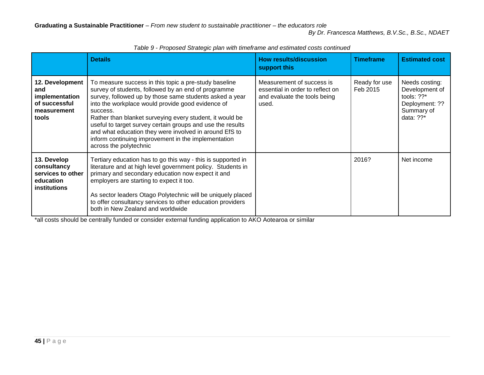|                                                                                   | <b>Details</b>                                                                                                                                                                                                                                                                                                                                                                                                                                                                                                | <b>How results/discussion</b><br>support this                                                          | <b>Timeframe</b>          | <b>Estimated cost</b>                                                                             |
|-----------------------------------------------------------------------------------|---------------------------------------------------------------------------------------------------------------------------------------------------------------------------------------------------------------------------------------------------------------------------------------------------------------------------------------------------------------------------------------------------------------------------------------------------------------------------------------------------------------|--------------------------------------------------------------------------------------------------------|---------------------------|---------------------------------------------------------------------------------------------------|
| 12. Development<br>and<br>implementation<br>of successful<br>measurement<br>tools | To measure success in this topic a pre-study baseline<br>survey of students, followed by an end of programme<br>survey, followed up by those same students asked a year<br>into the workplace would provide good evidence of<br>success.<br>Rather than blanket surveying every student, it would be<br>useful to target survey certain groups and use the results<br>and what education they were involved in around EfS to<br>inform continuing improvement in the implementation<br>across the polytechnic | Measurement of success is<br>essential in order to reflect on<br>and evaluate the tools being<br>used. | Ready for use<br>Feb 2015 | Needs costing:<br>Development of<br>tools: $?$ ?*<br>Deployment: ??<br>Summary of<br>data: $??$ * |
| 13. Develop<br>consultancy<br>services to other<br>education<br>institutions      | Tertiary education has to go this way - this is supported in<br>literature and at high level government policy. Students in<br>primary and secondary education now expect it and<br>employers are starting to expect it too.<br>As sector leaders Otago Polytechnic will be uniquely placed<br>to offer consultancy services to other education providers<br>both in New Zealand and worldwide                                                                                                                |                                                                                                        | 2016?                     | Net income                                                                                        |

*Table 9 - Proposed Strategic plan with timeframe and estimated costs continued*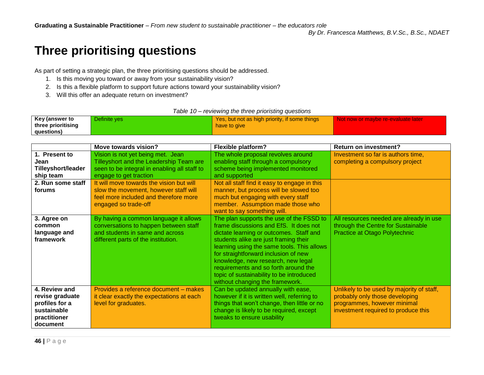## **Three prioritising questions**

As part of setting a strategic plan, the three prioritising questions should be addressed.

- 1. Is this moving you toward or away from your sustainability vision?
- 2. Is this a flexible platform to support future actions toward your sustainability vision?
- 3. Will this offer an adequate return on investment?

|  | Table 10 – reviewing the three prioristing questions |  |
|--|------------------------------------------------------|--|
|  |                                                      |  |

| Key (answer to     | Definite ves | Yes, but not as high priority, if some things | l Not now or maybe re-evaluate later |
|--------------------|--------------|-----------------------------------------------|--------------------------------------|
| three prioritising |              | have to give                                  |                                      |
| questions)         |              |                                               |                                      |

<span id="page-45-0"></span>

|                       | Move towards vision?                                                         | <b>Flexible platform?</b>                                                 | <b>Return on investment?</b>                                          |
|-----------------------|------------------------------------------------------------------------------|---------------------------------------------------------------------------|-----------------------------------------------------------------------|
| 1. Present to<br>Jean | Vision is not yet being met. Jean<br>Tilleyshort and the Leadership Team are | The whole proposal revolves around<br>enabling staff through a compulsory | Investment so far is authors time,<br>completing a compulsory project |
| Tilleyshort/leader    | seen to be integral in enabling all staff to                                 | scheme being implemented monitored                                        |                                                                       |
| ship team             | engage to get traction                                                       | and supported                                                             |                                                                       |
| 2. Run some staff     | It will move towards the vision but will                                     | Not all staff find it easy to engage in this                              |                                                                       |
| forums                | slow the movement, however staff will                                        | manner, but process will be slowed too                                    |                                                                       |
|                       | feel more included and therefore more                                        | much but engaging with every staff                                        |                                                                       |
|                       | engaged so trade-off                                                         | member. Assumption made those who<br>want to say something will.          |                                                                       |
|                       |                                                                              |                                                                           |                                                                       |
| 3. Agree on           | By having a common language it allows                                        | The plan supports the use of the FSSD to                                  | All resources needed are already in use                               |
| common                | conversations to happen between staff                                        | frame discussions and EfS. It does not                                    | through the Centre for Sustainable                                    |
| language and          | and students in same and across                                              | dictate learning or outcomes. Staff and                                   | Practice at Otago Polytechnic                                         |
| framework             | different parts of the institution.                                          | students alike are just framing their                                     |                                                                       |
|                       |                                                                              | learning using the same tools. This allows                                |                                                                       |
|                       |                                                                              | for straightforward inclusion of new                                      |                                                                       |
|                       |                                                                              | knowledge, new research, new legal                                        |                                                                       |
|                       |                                                                              | requirements and so forth around the                                      |                                                                       |
|                       |                                                                              | topic of sustainability to be introduced                                  |                                                                       |
|                       |                                                                              | without changing the framework.                                           |                                                                       |
| 4. Review and         | Provides a reference document – makes                                        | Can be updated annually with ease,                                        | Unlikely to be used by majority of staff,                             |
| revise graduate       | it clear exactly the expectations at each                                    | however if it is written well, referring to                               | probably only those developing                                        |
| profiles for a        | level for graduates.                                                         | things that won't change, then little or no                               | programmes, however minimal                                           |
| sustainable           |                                                                              | change is likely to be required, except                                   | investment required to produce this                                   |
| practitioner          |                                                                              | tweaks to ensure usability                                                |                                                                       |
| document              |                                                                              |                                                                           |                                                                       |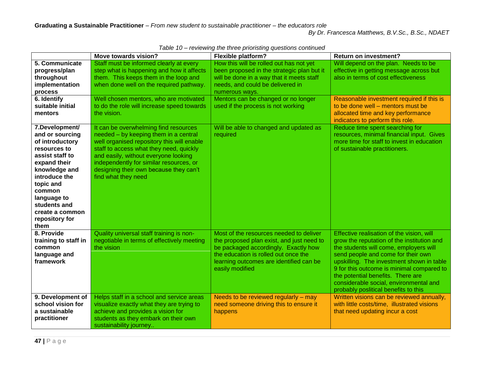|                                                                                                                                                                                                                                              | Move towards vision?                                                                                                                                                                                                                                                                                                        | <b>Flexible platform?</b>                                                                                                                                                                                                          | <b>Return on investment?</b>                                                                                                                                                                                                                                                                                                                                                             |
|----------------------------------------------------------------------------------------------------------------------------------------------------------------------------------------------------------------------------------------------|-----------------------------------------------------------------------------------------------------------------------------------------------------------------------------------------------------------------------------------------------------------------------------------------------------------------------------|------------------------------------------------------------------------------------------------------------------------------------------------------------------------------------------------------------------------------------|------------------------------------------------------------------------------------------------------------------------------------------------------------------------------------------------------------------------------------------------------------------------------------------------------------------------------------------------------------------------------------------|
| 5. Communicate<br>progress/plan<br>throughout<br>implementation<br>process                                                                                                                                                                   | Staff must be informed clearly at every<br>step what is happening and how it affects<br>them. This keeps them in the loop and<br>when done well on the required pathway.                                                                                                                                                    | How this will be rolled out has not yet<br>been proposed in the strategic plan but it<br>will be done in a way that it meets staff<br>needs, and could be delivered in<br>numerous ways.                                           | Will depend on the plan. Needs to be<br>effective in getting message across but<br>also in terms of cost effectiveness                                                                                                                                                                                                                                                                   |
| 6. Identify<br>suitable initial<br>mentors                                                                                                                                                                                                   | Well chosen mentors, who are motivated<br>to do the role will increase speed towards<br>the vision.                                                                                                                                                                                                                         | Mentors can be changed or no longer<br>used if the process is not working                                                                                                                                                          | Reasonable investment required if this is<br>to be done well - mentors must be<br>allocated time and key performance<br>indicators to perform this role.                                                                                                                                                                                                                                 |
| 7.Development/<br>and or sourcing<br>of introductory<br>resources to<br>assist staff to<br>expand their<br>knowledge and<br>introduce the<br>topic and<br>common<br>language to<br>students and<br>create a common<br>repository for<br>them | It can be overwhelming find resources<br>needed - by keeping them in a central<br>well organised repository this will enable<br>staff to access what they need, quickly<br>and easily, without everyone looking<br>independently for similar resources, or<br>designing their own because they can't<br>find what they need | Will be able to changed and updated as<br>required                                                                                                                                                                                 | Reduce time spent searching for<br>resources, minimal financial input. Gives<br>more time for staff to invest in education<br>of sustainable practitioners.                                                                                                                                                                                                                              |
| 8. Provide<br>training to staff in<br>common<br>language and<br>framework                                                                                                                                                                    | Quality universal staff training is non-<br>negotiable in terms of effectively meeting<br>the vision                                                                                                                                                                                                                        | Most of the resources needed to deliver<br>the proposed plan exist, and just need to<br>be packaged accordingly. Exactly how<br>the education is rolled out once the<br>learning outcomes are identified can be<br>easily modified | Effective realisation of the vision, will<br>grow the reputation of the institution and<br>the students will come, employers will<br>send people and come for their own<br>upskilling. The investment shown in table<br>9 for this outcome is minimal compared to<br>the potential benefits. There are<br>considerable social, environmental and<br>probably poslitical benefits to this |
| 9. Development of<br>school vision for<br>a sustainable<br>practitioner                                                                                                                                                                      | Helps staff in a school and service areas<br>visualize exactly what they are trying to<br>achieve and provides a vision for<br>students as they embark on their own<br>sustainability journey                                                                                                                               | Needs to be reviewed regularly - may<br>need someone driving this to ensure it<br>happens                                                                                                                                          | Written visions can be reviewed annually,<br>with little costs/time, illustrated visions<br>that need updating incur a cost                                                                                                                                                                                                                                                              |

*Table 10 – reviewing the three prioristing questions continued*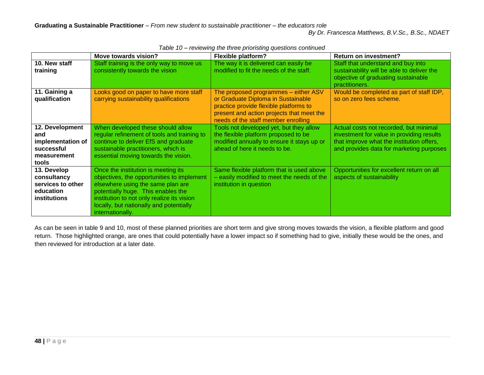|                                                                                     | Move towards vision?                                                                                                                                                                                                                                                      | <b>Flexible platform?</b>                                                                                                                                                                                | <b>Return on investment?</b>                                                                                                                                                 |
|-------------------------------------------------------------------------------------|---------------------------------------------------------------------------------------------------------------------------------------------------------------------------------------------------------------------------------------------------------------------------|----------------------------------------------------------------------------------------------------------------------------------------------------------------------------------------------------------|------------------------------------------------------------------------------------------------------------------------------------------------------------------------------|
| 10. New staff<br>training                                                           | Staff training is the only way to move us<br>consistently towards the vision                                                                                                                                                                                              | The way it is delivered can easily be<br>modified to fit the needs of the staff.                                                                                                                         | Staff that understand and buy into<br>sustainability will be able to deliver the<br>objective of graduating sustainable<br>practitioners.                                    |
| 11. Gaining a<br>qualification                                                      | Looks good on paper to have more staff<br>carrying sustainability qualifications                                                                                                                                                                                          | The proposed programmes - either ASV<br>or Graduate Diploma in Sustainable<br>practice provide flexible platforms to<br>present and action projects that meet the<br>needs of the staff member enrolling | Would be completed as part of staff IDP,<br>so on zero fees scheme.                                                                                                          |
| 12. Development<br>and<br>implementation of<br>successful<br>measurement<br>tools   | When developed these should allow<br>regular refinement of tools and training to<br>continue to deliver EfS and graduate<br>sustainable practitioners, which is<br>essential moving towards the vision.                                                                   | Tools not developed yet, but they allow<br>the flexible platform proposed to be<br>modified annually to ensure it stays up or<br>ahead of here it needs to be.                                           | Actual costs not recorded, but minimal<br>investment for value in providing results<br>that improve what the institution offers,<br>and provides data for marketing purposes |
| 13. Develop<br>consultancy<br>services to other<br>education<br><b>institutions</b> | Once the institution is meeting its<br>objectives, the opportunities to implement<br>elsewhere using the same plan are<br>potentially huge. This enables the<br>institution to not only realize its vision<br>locally, but nationally and potentially<br>internationally. | Same flexible platform that is used above<br>- easily modified to meet the needs of the<br>institution in question                                                                                       | Opportunities for excellent return on all<br>aspects of sustainability                                                                                                       |

*Table 10 – reviewing the three prioristing questions continued*

As can be seen in table 9 and 10, most of these planned priorities are short term and give strong moves towards the vision, a flexible platform and good return. Those highlighted orange, are ones that could potentially have a lower impact so if something had to give, initially these would be the ones, and then reviewed for introduction at a later date.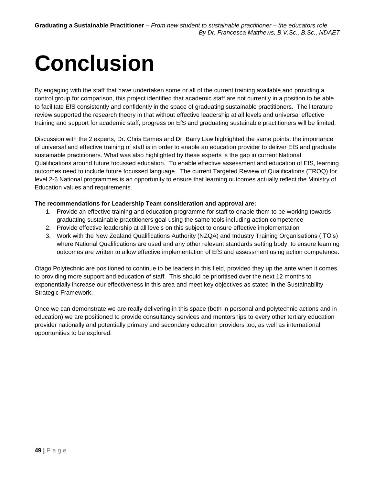# <span id="page-48-0"></span>**Conclusion**

By engaging with the staff that have undertaken some or all of the current training available and providing a control group for comparison, this project identified that academic staff are not currently in a position to be able to facilitate EfS consistently and confidently in the space of graduating sustainable practitioners. The literature review supported the research theory in that without effective leadership at all levels and universal effective training and support for academic staff, progress on EfS and graduating sustainable practitioners will be limited.

Discussion with the 2 experts, Dr. Chris Eames and Dr. Barry Law highlighted the same points: the importance of universal and effective training of staff is in order to enable an education provider to deliver EfS and graduate sustainable practitioners. What was also highlighted by these experts is the gap in current National Qualifications around future focussed education. To enable effective assessment and education of EfS, learning outcomes need to include future focussed language. The current Targeted Review of Qualifications (TROQ) for level 2-6 National programmes is an opportunity to ensure that learning outcomes actually reflect the Ministry of Education values and requirements.

#### **The recommendations for Leadership Team consideration and approval are:**

- 1. Provide an effective training and education programme for staff to enable them to be working towards graduating sustainable practitioners goal using the same tools including action competence
- 2. Provide effective leadership at all levels on this subject to ensure effective implementation
- 3. Work with the New Zealand Qualifications Authority (NZQA) and Industry Training Organisations (ITO's) where National Qualifications are used and any other relevant standards setting body, to ensure learning outcomes are written to allow effective implementation of EfS and assessment using action competence.

Otago Polytechnic are positioned to continue to be leaders in this field, provided they up the ante when it comes to providing more support and education of staff. This should be prioritised over the next 12 months to exponentially increase our effectiveness in this area and meet key objectives as stated in the Sustainability Strategic Framework.

Once we can demonstrate we are really delivering in this space (both in personal and polytechnic actions and in education) we are positioned to provide consultancy services and mentorships to every other tertiary education provider nationally and potentially primary and secondary education providers too, as well as international opportunities to be explored.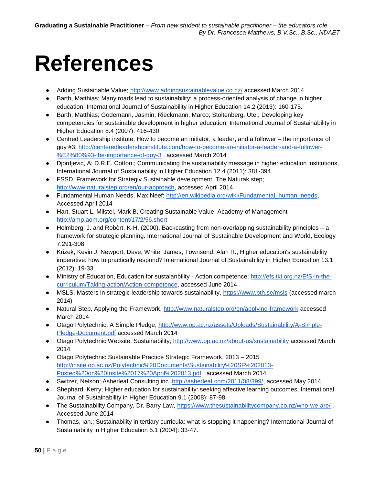# <span id="page-49-0"></span>**References**

- Adding Sustainable Value;<http://www.addingsustainablevalue.co.nz/> accessed March 2014
- Barth, Matthias; Many roads lead to sustainability: a process-oriented analysis of change in higher education, International Journal of Sustainability in Higher Education 14.2 (2013): 160-175.
- Barth, Matthias; Godemann, Jasmin; Rieckmann, Marco; Stoltenberg, Ute.; Developing key competencies for sustainable development in higher education; International Journal of Sustainability in Higher Education 8.4 (2007): 416-430.
- Centred Leadership institute, How to become an initiator, a leader, and a follower the importance of guy #3; [http://centeredleadershipinstitute.com/how-to-become-an-initiator-a-leader-and-a-follower-](http://centeredleadershipinstitute.com/how-to-become-an-initiator-a-leader-and-a-follower-%E2%80%93-the-importance-of-guy-3) [%E2%80%93-the-importance-of-guy-3](http://centeredleadershipinstitute.com/how-to-become-an-initiator-a-leader-and-a-follower-%E2%80%93-the-importance-of-guy-3) , accessed March 2014
- Djordjevic, A; D.R.E. Cotton.; Communicating the sustainability message in higher education institutions, International Journal of Sustainability in Higher Education 12.4 (2011): 381-394.
- FSSD, Framework for Strategiv Sustainable development, The Naturak step; [http://www.naturalstep.org/en/our-approach,](http://www.naturalstep.org/en/our-approach) accessed April 2014
- Fundamental Human Needs, Max Neef; [http://en.wikipedia.org/wiki/Fundamental\\_human\\_needs,](http://en.wikipedia.org/wiki/Fundamental_human_needs) Accessed April 2014
- Hart, Stuart L, Milstei, Mark B, Creating Sustainable Value, Academy of Management <http://amp.aom.org/content/17/2/56.short>
- Holmberg, J. and Robèrt, K-H. (2000). Backcasting from non-overlapping sustainability principles a framework for strategic planning. International Journal of Sustainable Development and World, Ecology 7:291-308.
- Krizek, Kevin J; Newport, Dave; White, James; Townsend, Alan R.; Higher education's sustainability imperative: how to practically respond? International Journal of Sustainability in Higher Education 13.1 (2012): 19-33.
- Ministry of Education, Education for sustaianbility Action competence; [http://efs.tki.org.nz/EfS-in-the](http://efs.tki.org.nz/EfS-in-the-curriculum/Taking-action/Action-competence)[curriculum/Taking-action/Action-competence,](http://efs.tki.org.nz/EfS-in-the-curriculum/Taking-action/Action-competence) accessed June 2014
- MSLS, Masters in strategic leadership towards sustainability,<https://www.bth.se/msls> (accessed march 2014)
- Natural Step, Applying the Framework,<http://www.naturalstep.org/en/applying-framework> accessed March 2014
- Otago Polytechnic, A Simple Pledge; [http://www.op.ac.nz/assets/Uploads/Sustainability/A-Simple-](http://www.op.ac.nz/assets/Uploads/Sustainability/A-Simple-Pledge-Document.pdf)[Pledge-Document.pdf](http://www.op.ac.nz/assets/Uploads/Sustainability/A-Simple-Pledge-Document.pdf) accessed March 2014
- Otago Polytechnic Website, Sustainability;<http://www.op.ac.nz/about-us/sustainability> accessed March 2014
- Otago Polytechnic Sustainable Practice Strategic Framework, 2013 2015 [http://insite.op.ac.nz/Polytechnic%20Documents/Sustainability%20SF%202013-](http://insite.op.ac.nz/Polytechnic%20Documents/Sustainability%20SF%202013-Posted%20on%20Insite%2017%20April%202013.pdf) [Posted%20on%20Insite%2017%20April%202013.pdf](http://insite.op.ac.nz/Polytechnic%20Documents/Sustainability%20SF%202013-Posted%20on%20Insite%2017%20April%202013.pdf) , accessed March 2014
- Switzer, Nelson; Asherleaf Consulting inc. [http://asherleaf.com/2011/08/399/,](http://asherleaf.com/2011/08/399/) accessed May 2014
- Shephard, Kerry; Higher education for sustainability: seeking affective learning outcomes, International Journal of Sustainability in Higher Education 9.1 (2008): 87-98.
- The Sustainability Company, Dr. Barry Law,<https://www.thesustainabilitycompany.co.nz/who-we-are/>, Accessed June 2014
- Thomas, Ian.; Sustainability in tertiary curricula: what is stopping it happening? International Journal of Sustainability in Higher Education 5.1 (2004): 33-47.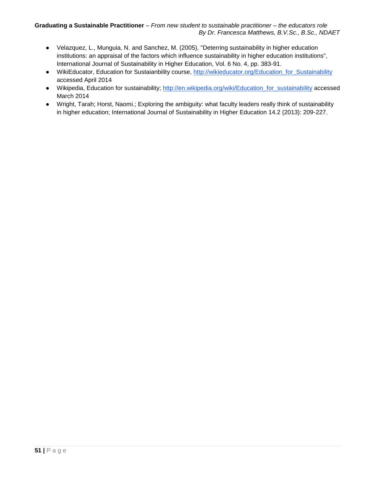- Velazquez, L., Munguia, N. and Sanchez, M. (2005), "Deterring sustainability in higher education institutions: an appraisal of the factors which influence sustainability in higher education institutions", International Journal of Sustainability in Higher Education, Vol. 6 No. 4, pp. 383-91.
- WikiEducator, Education for Sustaianbility course, [http://wikieducator.org/Education\\_for\\_Sustainability](http://wikieducator.org/Education_for_Sustainability) accessed April 2014
- Wikipedia, Education for sustainability; http://en.wikipedia.org/wiki/Education for sustainability accessed March 2014
- Wright, Tarah; Horst, Naomi.; Exploring the ambiguity: what faculty leaders really think of sustainability in higher education; International Journal of Sustainability in Higher Education 14.2 (2013): 209-227.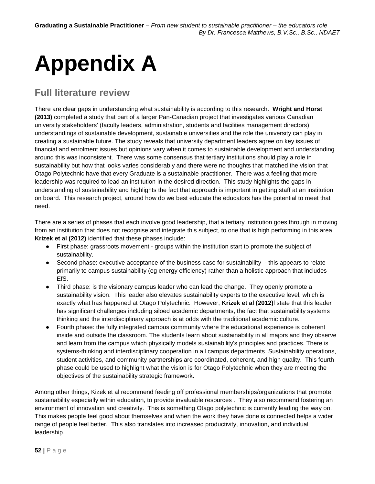# <span id="page-51-0"></span>**Appendix A**

## **Full literature review**

There are clear gaps in understanding what sustainability is according to this research. **Wright and Horst (2013)** completed a study that part of a larger Pan-Canadian project that investigates various Canadian university stakeholders' (faculty leaders, administration, students and facilities management directors) understandings of sustainable development, sustainable universities and the role the university can play in creating a sustainable future. The study reveals that university department leaders agree on key issues of financial and enrolment issues but opinions vary when it comes to sustainable development and understanding around this was inconsistent. There was some consensus that tertiary institutions should play a role in sustainability but how that looks varies considerably and there were no thoughts that matched the vision that Otago Polytechnic have that every Graduate is a sustainable practitioner. There was a feeling that more leadership was required to lead an institution in the desired direction. This study highlights the gaps in understanding of sustainability and highlights the fact that approach is important in getting staff at an institution on board. This research project, around how do we best educate the educators has the potential to meet that need.

There are a series of phases that each involve good leadership, that a tertiary institution goes through in moving from an institution that does not recognise and integrate this subject, to one that is high performing in this area. **Krizek et al (2012)** identified that these phases include:

- First phase: grassroots movement groups within the institution start to promote the subject of sustainability.
- Second phase: executive acceptance of the business case for sustainability this appears to relate primarily to campus sustainability (eg energy efficiency) rather than a holistic approach that includes EfS.
- Third phase: is the visionary campus leader who can lead the change. They openly promote a sustainability vision. This leader also elevates sustainability experts to the executive level, which is exactly what has happened at Otago Polytechnic. However, **Krizek et al (2012)**l state that this leader has significant challenges including siloed academic departments, the fact that sustainability systems thinking and the interdisciplinary approach is at odds with the traditional academic culture.
- Fourth phase: the fully integrated campus community where the educational experience is coherent inside and outside the classroom. The students learn about sustainability in all majors and they observe and learn from the campus which physically models sustainability's principles and practices. There is systems-thinking and interdisciplinary cooperation in all campus departments. Sustainability operations, student activities, and community partnerships are coordinated, coherent, and high quality. This fourth phase could be used to highlight what the vision is for Otago Polytechnic when they are meeting the objectives of the sustainability strategic framework.

Among other things, Kizek et al recommend feeding off professional memberships/organizations that promote sustainability especially within education, to provide invaluable resources . They also recommend fostering an environment of innovation and creativity. This is something Otago polytechnic is currently leading the way on. This makes people feel good about themselves and when the work they have done is connected helps a wider range of people feel better. This also translates into increased productivity, innovation, and individual leadership.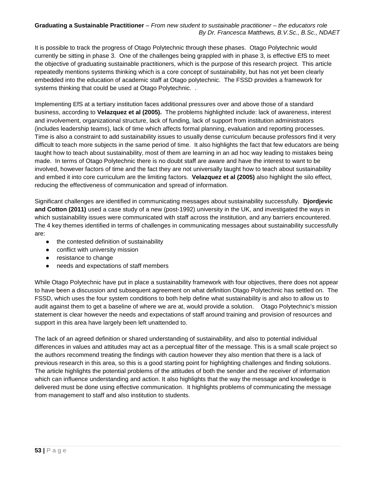It is possible to track the progress of Otago Polytechnic through these phases. Otago Polytechnic would currently be sitting in phase 3. One of the challenges being grappled with in phase 3, is effective EfS to meet the objective of graduating sustainable practitioners, which is the purpose of this research project. This article repeatedly mentions systems thinking which is a core concept of sustainability, but has not yet been clearly embedded into the education of academic staff at Otago polytechnic. The FSSD provides a framework for systems thinking that could be used at Otago Polytechnic. .

Implementing EfS at a tertiary institution faces additional pressures over and above those of a standard business, according to **Velazquez et al (2005).** The problems highlighted include: lack of awareness, interest and involvement, organizational structure, lack of funding, lack of support from institution administrators (includes leadership teams), lack of time which affects formal planning, evaluation and reporting processes. Time is also a constraint to add sustainability issues to usually dense curriculum because professors find it very difficult to teach more subjects in the same period of time. It also highlights the fact that few educators are being taught how to teach about sustainability, most of them are learning in an ad hoc way leading to mistakes being made. In terms of Otago Polytechnic there is no doubt staff are aware and have the interest to want to be involved, however factors of time and the fact they are not universally taught how to teach about sustainability and embed it into core curriculum are the limiting factors. **Velazquez et al (2005)** also highlight the silo effect, reducing the effectiveness of communication and spread of information.

Significant challenges are identified in communicating messages about sustainability successfully. **Djordjevic and Cotton (2011)** used a case study of a new (post-1992) university in the UK, and investigated the ways in which sustainability issues were communicated with staff across the institution, and any barriers encountered. The 4 key themes identified in terms of challenges in communicating messages about sustainability successfully are:

- the contested definition of sustainability
- conflict with university mission
- resistance to change
- needs and expectations of staff members

While Otago Polytechnic have put in place a sustainability framework with four objectives, there does not appear to have been a discussion and subsequent agreement on what definition Otago Polytechnic has settled on. The FSSD, which uses the four system conditions to both help define what sustainability is and also to allow us to audit against them to get a baseline of where we are at, would provide a solution. Otago Polytechnic's mission statement is clear however the needs and expectations of staff around training and provision of resources and support in this area have largely been left unattended to.

The lack of an agreed definition or shared understanding of sustainability, and also to potential individual differences in values and attitudes may act as a perceptual filter of the message. This is a small scale project so the authors recommend treating the findings with caution however they also mention that there is a lack of previous research in this area, so this is a good starting point for highlighting challenges and finding solutions. The article highlights the potential problems of the attitudes of both the sender and the receiver of information which can influence understanding and action. It also highlights that the way the message and knowledge is delivered must be done using effective communication. It highlights problems of communicating the message from management to staff and also institution to students.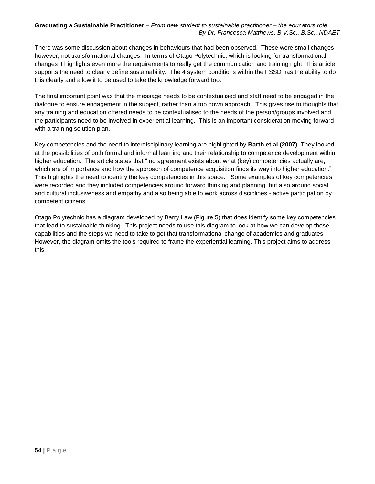There was some discussion about changes in behaviours that had been observed. These were small changes however, not transformational changes. In terms of Otago Polytechnic, which is looking for transformational changes it highlights even more the requirements to really get the communication and training right. This article supports the need to clearly define sustainability. The 4 system conditions within the FSSD has the ability to do this clearly and allow it to be used to take the knowledge forward too.

The final important point was that the message needs to be contextualised and staff need to be engaged in the dialogue to ensure engagement in the subject, rather than a top down approach. This gives rise to thoughts that any training and education offered needs to be contextualised to the needs of the person/groups involved and the participants need to be involved in experiential learning. This is an important consideration moving forward with a training solution plan.

Key competencies and the need to interdisciplinary learning are highlighted by **Barth et al (2007).** They looked at the possibilities of both formal and informal learning and their relationship to competence development within higher education. The article states that " no agreement exists about what (key) competencies actually are, which are of importance and how the approach of competence acquisition finds its way into higher education." This highlights the need to identify the key competencies in this space. Some examples of key competencies were recorded and they included competencies around forward thinking and planning, but also around social and cultural inclusiveness and empathy and also being able to work across disciplines - active participation by competent citizens.

Otago Polytechnic has a diagram developed by Barry Law (Figure 5) that does identify some key competencies that lead to sustainable thinking. This project needs to use this diagram to look at how we can develop those capabilities and the steps we need to take to get that transformational change of academics and graduates. However, the diagram omits the tools required to frame the experiential learning. This project aims to address this.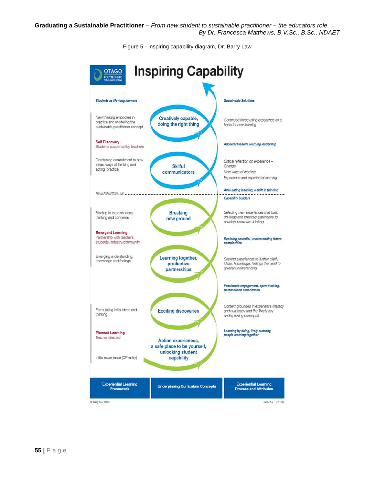Figure 5 - Inspiring capability diagram, Dr. Barry Law

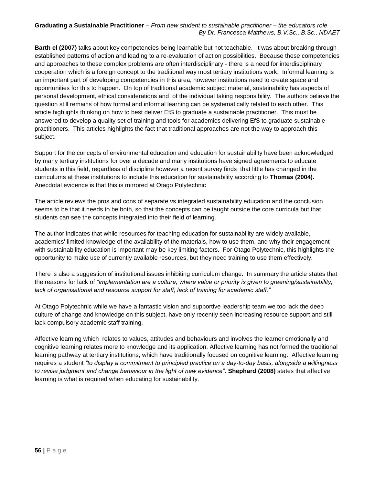**Barth el (2007)** talks about key competencies being learnable but not teachable. It was about breaking through established patterns of action and leading to a re-evaluation of action possibilities. Because these competencies and approaches to these complex problems are often interdisciplinary - there is a need for interdisciplinary cooperation which is a foreign concept to the traditional way most tertiary institutions work. Informal learning is an important part of developing competencies in this area, however institutions need to create space and opportunities for this to happen. On top of traditional academic subject material, sustainability has aspects of personal development, ethical considerations and of the individual taking responsibility. The authors believe the question still remains of how formal and informal learning can be systematically related to each other. This article highlights thinking on how to best deliver EfS to graduate a sustainable practitioner. This must be answered to develop a quality set of training and tools for academics delivering EfS to graduate sustainable practitioners. This articles highlights the fact that traditional approaches are not the way to approach this subject.

Support for the concepts of environmental education and education for sustainability have been acknowledged by many tertiary institutions for over a decade and many institutions have signed agreements to educate students in this field, regardless of discipline however a recent survey finds that little has changed in the curriculums at these institutions to include this education for sustainability according to **Thomas (2004).** Anecdotal evidence is that this is mirrored at Otago Polytechnic

The article reviews the pros and cons of separate vs integrated sustainability education and the conclusion seems to be that it needs to be both, so that the concepts can be taught outside the core curricula but that students can see the concepts integrated into their field of learning.

The author indicates that while resources for teaching education for sustainability are widely available, academics' limited knowledge of the availability of the materials, how to use them, and why their engagement with sustainability education is important may be key limiting factors. For Otago Polytechnic, this highlights the opportunity to make use of currently available resources, but they need training to use them effectively.

There is also a suggestion of institutional issues inhibiting curriculum change. In summary the article states that the reasons for lack of *"implementation are a culture, where value or priority is given to greening/sustainability; lack of organisational and resource support for staff; lack of training for academic staff."* 

At Otago Polytechnic while we have a fantastic vision and supportive leadership team we too lack the deep culture of change and knowledge on this subject, have only recently seen increasing resource support and still lack compulsory academic staff training.

Affective learning which relates to values, attitudes and behaviours and involves the learner emotionally and cognitive learning relates more to knowledge and its application. Affective learning has not formed the traditional learning pathway at tertiary institutions, which have traditionally focused on cognitive learning. Affective learning requires a student *"to display a commitment to principled practice on a day-to-day basis, alongside a willingness to revise judgment and change behaviour in the light of new evidence"*. **Shephard (2008)** states that affective learning is what is required when educating for sustainability.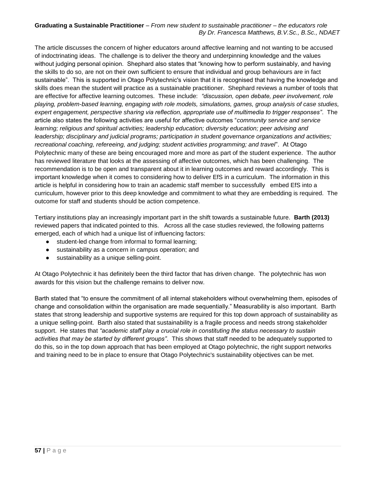The article discusses the concern of higher educators around affective learning and not wanting to be accused of indoctrinating ideas. The challenge is to deliver the theory and underpinning knowledge and the values without judging personal opinion. Shephard also states that "knowing how to perform sustainably, and having the skills to do so, are not on their own sufficient to ensure that individual and group behaviours are in fact sustainable". This is supported in Otago Polytechnic's vision that it is recognised that having the knowledge and skills does mean the student will practice as a sustainable practitioner. Shephard reviews a number of tools that are effective for affective learning outcomes. These include: *"discussion, open debate, peer involvement, role playing, problem-based learning, engaging with role models, simulations, games, group analysis of case studies, expert engagement, perspective sharing via reflection, appropriate use of multimedia to trigger responses"*. The article also states the following activities are useful for affective outcomes "*community service and service learning; religious and spiritual activities; leadership education; diversity education; peer advising and leadership; disciplinary and judicial programs; participation in student governance organizations and activities; recreational coaching, refereeing, and judging; student activities programming; and travel*". At Otago Polytechnic many of these are being encouraged more and more as part of the student experience. The author has reviewed literature that looks at the assessing of affective outcomes, which has been challenging. The recommendation is to be open and transparent about it in learning outcomes and reward accordingly. This is important knowledge when it comes to considering how to deliver EfS in a curriculum. The information in this article is helpful in considering how to train an academic staff member to successfully embed EfS into a curriculum, however prior to this deep knowledge and commitment to what they are embedding is required. The outcome for staff and students should be action competence.

Tertiary institutions play an increasingly important part in the shift towards a sustainable future. **Barth (2013)**  reviewed papers that indicated pointed to this. Across all the case studies reviewed, the following patterns emerged, each of which had a unique list of influencing factors:

- student-led change from informal to formal learning;
- sustainability as a concern in campus operation; and
- sustainability as a unique selling-point.

At Otago Polytechnic it has definitely been the third factor that has driven change. The polytechnic has won awards for this vision but the challenge remains to deliver now.

Barth stated that "to ensure the commitment of all internal stakeholders without overwhelming them, episodes of change and consolidation within the organisation are made sequentially." Measurability is also important. Barth states that strong leadership and supportive systems are required for this top down approach of sustainability as a unique selling-point. Barth also stated that sustainability is a fragile process and needs strong stakeholder support. He states that *"academic staff play a crucial role in constituting the status necessary to sustain activities that may be started by different groups"*. This shows that staff needed to be adequately supported to do this, so in the top down approach that has been employed at Otago polytechnic, the right support networks and training need to be in place to ensure that Otago Polytechnic's sustainability objectives can be met.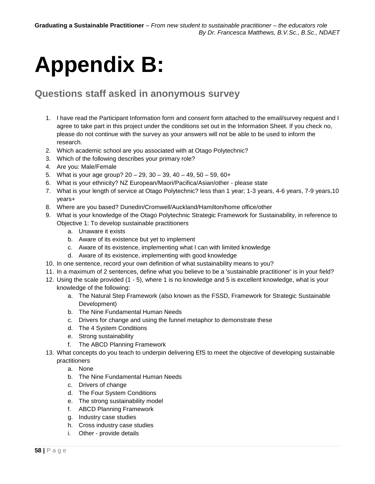# <span id="page-57-0"></span>**Appendix B:**

## **Questions staff asked in anonymous survey**

- 1. I have read the Participant Information form and consent form attached to the email/survey request and I agree to take part in this project under the conditions set out in the Information Sheet. If you check no, please do not continue with the survey as your answers will not be able to be used to inform the research.
- 2. Which academic school are you associated with at Otago Polytechnic?
- 3. Which of the following describes your primary role?
- 4. Are you: Male/Female
- 5. What is your age group? 20 29, 30 39, 40 49, 50 59, 60+
- 6. What is your ethnicity? NZ European/Maori/Pacifica/Asian/other please state
- 7. What is your length of service at Otago Polytechnic? less than 1 year; 1-3 years, 4-6 years, 7-9 years,10 years+
- 8. Where are you based? Dunedin/Cromwell/Auckland/Hamilton/home office/other
- 9. What is your knowledge of the Otago Polytechnic Strategic Framework for Sustainability, in reference to Objective 1: To develop sustainable practitioners
	- a. Unaware it exists
	- b. Aware of its existence but yet to implement
	- c. Aware of its existence, implementing what I can with limited knowledge
	- d. Aware of its existence, implementing with good knowledge
- 10. In one sentence, record your own definition of what sustainability means to you?
- 11. In a maximum of 2 sentences, define what you believe to be a 'sustainable practitioner' is in your field?
- 12. Using the scale provided (1 5), where 1 is no knowledge and 5 is excellent knowledge, what is your knowledge of the following:
	- a. The Natural Step Framework (also known as the FSSD, Framework for Strategic Sustainable Development)
	- b. The Nine Fundamental Human Needs
	- c. Drivers for change and using the funnel metaphor to demonstrate these
	- d. The 4 System Conditions
	- e. Strong sustainability
	- f. The ABCD Planning Framework
- 13. What concepts do you teach to underpin delivering EfS to meet the objective of developing sustainable practitioners
	- a. None
	- b. The Nine Fundamental Human Needs
	- c. Drivers of change
	- d. The Four System Conditions
	- e. The strong sustainability model
	- f. ABCD Planning Framework
	- g. Industry case studies
	- h. Cross industry case studies
	- i. Other provide details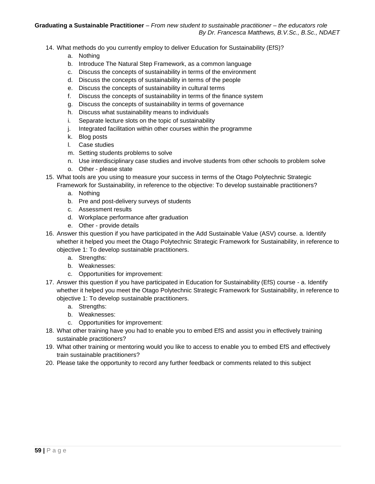- 14. What methods do you currently employ to deliver Education for Sustainability (EfS)?
	- a. Nothing
	- b. Introduce The Natural Step Framework, as a common language
	- c. Discuss the concepts of sustainability in terms of the environment
	- d. Discuss the concepts of sustainability in terms of the people
	- e. Discuss the concepts of sustainability in cultural terms
	- f. Discuss the concepts of sustainability in terms of the finance system
	- g. Discuss the concepts of sustainability in terms of governance
	- h. Discuss what sustainability means to individuals
	- i. Separate lecture slots on the topic of sustainability
	- j. Integrated facilitation within other courses within the programme
	- k. Blog posts
	- l. Case studies
	- m. Setting students problems to solve
	- n. Use interdisciplinary case studies and involve students from other schools to problem solve
	- o. Other please state
- 15. What tools are you using to measure your success in terms of the Otago Polytechnic Strategic Framework for Sustainability, in reference to the objective: To develop sustainable practitioners?
	- a. Nothing
	- b. Pre and post-delivery surveys of students
	- c. Assessment results
	- d. Workplace performance after graduation
	- e. Other provide details
- 16. Answer this question if you have participated in the Add Sustainable Value (ASV) course. a. Identify whether it helped you meet the Otago Polytechnic Strategic Framework for Sustainability, in reference to objective 1: To develop sustainable practitioners.
	- a. Strengths:
	- b. Weaknesses:
	- c. Opportunities for improvement:
- 17. Answer this question if you have participated in Education for Sustainability (EfS) course a. Identify whether it helped you meet the Otago Polytechnic Strategic Framework for Sustainability, in reference to objective 1: To develop sustainable practitioners.
	- a. Strengths:
	- b. Weaknesses:
	- c. Opportunities for improvement:
- 18. What other training have you had to enable you to embed EfS and assist you in effectively training sustainable practitioners?
- 19. What other training or mentoring would you like to access to enable you to embed EfS and effectively train sustainable practitioners?
- 20. Please take the opportunity to record any further feedback or comments related to this subject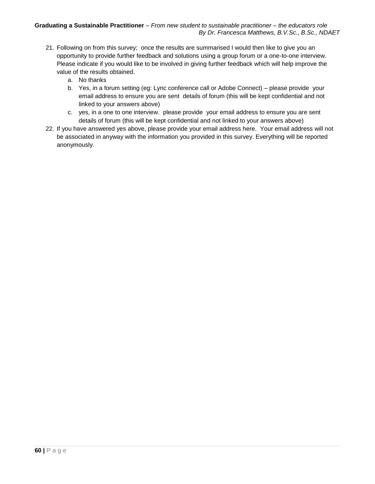- 21. Following on from this survey; once the results are summarised I would then like to give you an opportunity to provide further feedback and solutions using a group forum or a one-to-one interview. Please indicate if you would like to be involved in giving further feedback which will help improve the value of the results obtained.
	- a. No thanks
	- b. Yes, in a forum setting (eg: Lync conference call or Adobe Connect) please provide your email address to ensure you are sent details of forum (this will be kept confidential and not linked to your answers above)
	- c. yes, in a one to one interview. please provide your email address to ensure you are sent details of forum (this will be kept confidential and not linked to your answers above)
- 22. If you have answered yes above, please provide your email address here. Your email address will not be associated in anyway with the information you provided in this survey. Everything will be reported anonymously.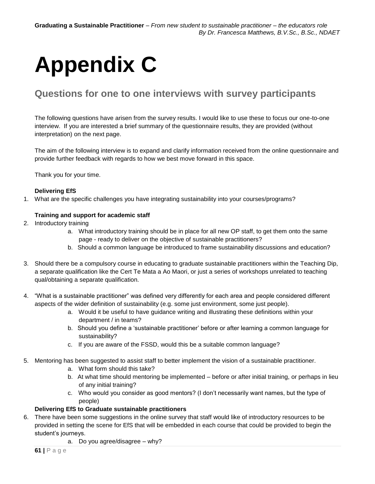# <span id="page-60-0"></span>**Appendix C**

## **Questions for one to one interviews with survey participants**

The following questions have arisen from the survey results. I would like to use these to focus our one-to-one interview. If you are interested a brief summary of the questionnaire results, they are provided (without interpretation) on the next page.

The aim of the following interview is to expand and clarify information received from the online questionnaire and provide further feedback with regards to how we best move forward in this space.

Thank you for your time.

#### **Delivering EfS**

1. What are the specific challenges you have integrating sustainability into your courses/programs?

#### **Training and support for academic staff**

- 2. Introductory training
	- a. What introductory training should be in place for all new OP staff, to get them onto the same page - ready to deliver on the objective of sustainable practitioners?
	- b. Should a common language be introduced to frame sustainability discussions and education?
- 3. Should there be a compulsory course in educating to graduate sustainable practitioners within the Teaching Dip, a separate qualification like the Cert Te Mata a Ao Maori, or just a series of workshops unrelated to teaching qual/obtaining a separate qualification.
- 4. "What is a sustainable practitioner" was defined very differently for each area and people considered different aspects of the wider definition of sustainability (e.g. some just environment, some just people).
	- a. Would it be useful to have guidance writing and illustrating these definitions within your department / in teams?
	- b. Should you define a 'sustainable practitioner' before or after learning a common language for sustainability?
	- c. If you are aware of the FSSD, would this be a suitable common language?
- 5. Mentoring has been suggested to assist staff to better implement the vision of a sustainable practitioner.
	- a. What form should this take?
	- b. At what time should mentoring be implemented before or after initial training, or perhaps in lieu of any initial training?
	- c. Who would you consider as good mentors? (I don't necessarily want names, but the type of people)

#### **Delivering EfS to Graduate sustainable practitioners**

- 6. There have been some suggestions in the online survey that staff would like of introductory resources to be provided in setting the scene for EfS that will be embedded in each course that could be provided to begin the student's journeys.
	- a. Do you agree/disagree why?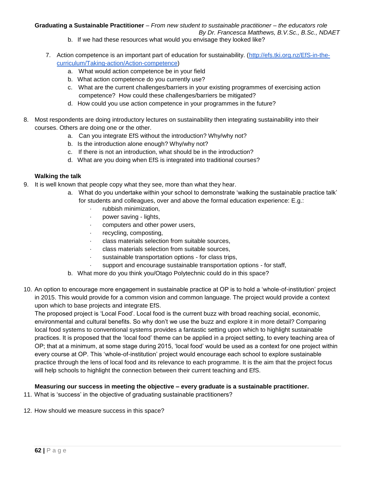- b. If we had these resources what would you envisage they looked like?
- 7. Action competence is an important part of education for sustainability. [\(http://efs.tki.org.nz/EfS-in-the](http://efs.tki.org.nz/EfS-in-the-curriculum/Taking-action/Action-competence)[curriculum/Taking-action/Action-competence\)](http://efs.tki.org.nz/EfS-in-the-curriculum/Taking-action/Action-competence)
	- a. What would action competence be in your field
	- b. What action competence do you currently use?
	- c. What are the current challenges/barriers in your existing programmes of exercising action competence? How could these challenges/barriers be mitigated?
	- d. How could you use action competence in your programmes in the future?
- 8. Most respondents are doing introductory lectures on sustainability then integrating sustainability into their courses. Others are doing one or the other.
	- a. Can you integrate EfS without the introduction? Why/why not?
	- b. Is the introduction alone enough? Why/why not?
	- c. If there is not an introduction, what should be in the introduction?
	- d. What are you doing when EfS is integrated into traditional courses?

#### **Walking the talk**

- 9. It is well known that people copy what they see, more than what they hear.
	- a. What do you undertake within your school to demonstrate 'walking the sustainable practice talk' for students and colleagues, over and above the formal education experience: E.g.:
		- · rubbish minimization,
		- · power saving lights,
		- computers and other power users,
		- recycling, composting,
		- class materials selection from suitable sources,
		- class materials selection from suitable sources,
		- sustainable transportation options for class trips,
		- support and encourage sustainable transportation options for staff,
	- b. What more do you think you/Otago Polytechnic could do in this space?
- 10. An option to encourage more engagement in sustainable practice at OP is to hold a 'whole-of-institution' project in 2015. This would provide for a common vision and common language. The project would provide a context upon which to base projects and integrate EfS.

The proposed project is 'Local Food'. Local food is the current buzz with broad reaching social, economic, environmental and cultural benefits. So why don't we use the buzz and explore it in more detail? Comparing local food systems to conventional systems provides a fantastic setting upon which to highlight sustainable practices. It is proposed that the 'local food' theme can be applied in a project setting, to every teaching area of OP; that at a minimum, at some stage during 2015, 'local food' would be used as a context for one project within every course at OP. This 'whole-of-institution' project would encourage each school to explore sustainable practice through the lens of local food and its relevance to each programme. It is the aim that the project focus will help schools to highlight the connection between their current teaching and EfS.

#### **Measuring our success in meeting the objective – every graduate is a sustainable practitioner.**

- 11. What is 'success' in the objective of graduating sustainable practitioners?
- <span id="page-61-0"></span>12. How should we measure success in this space?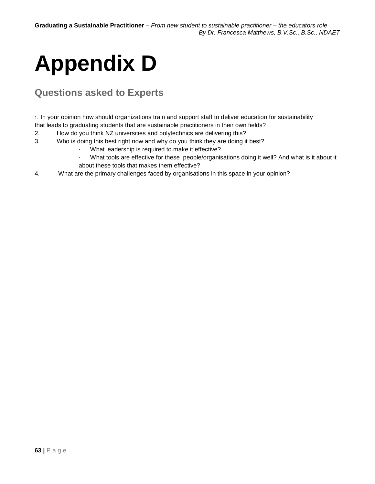# **Appendix D**

## **Questions asked to Experts**

1. In your opinion how should organizations train and support staff to deliver education for sustainability that leads to graduating students that are sustainable practitioners in their own fields?

- 2. How do you think NZ universities and polytechnics are delivering this?
- 3. Who is doing this best right now and why do you think they are doing it best?
	- · What leadership is required to make it effective?
	- · What tools are effective for these people/organisations doing it well? And what is it about it about these tools that makes them effective?
- 4. What are the primary challenges faced by organisations in this space in your opinion?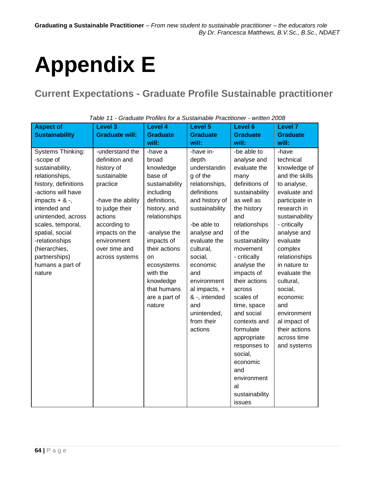# <span id="page-63-0"></span>**Appendix E**

## **Current Expectations - Graduate Profile Sustainable practitioner**

| <b>Aspect of</b>                                                                                                                                                             | <b>Level 3</b>                                                                                                               | <b>Level 4</b>                                                                                                                     | Level 5                                                                                                                                                                               | Level 6                                                                                                                                                                                                                                                                                | <b>Level 7</b>                                                                                                                                                                                                               |
|------------------------------------------------------------------------------------------------------------------------------------------------------------------------------|------------------------------------------------------------------------------------------------------------------------------|------------------------------------------------------------------------------------------------------------------------------------|---------------------------------------------------------------------------------------------------------------------------------------------------------------------------------------|----------------------------------------------------------------------------------------------------------------------------------------------------------------------------------------------------------------------------------------------------------------------------------------|------------------------------------------------------------------------------------------------------------------------------------------------------------------------------------------------------------------------------|
| <b>Sustainability</b>                                                                                                                                                        | <b>Graduate will:</b>                                                                                                        | <b>Graduate</b>                                                                                                                    | <b>Graduate</b>                                                                                                                                                                       | <b>Graduate</b>                                                                                                                                                                                                                                                                        | <b>Graduate</b>                                                                                                                                                                                                              |
|                                                                                                                                                                              |                                                                                                                              | will:                                                                                                                              | will:                                                                                                                                                                                 | will:                                                                                                                                                                                                                                                                                  | will:                                                                                                                                                                                                                        |
| Systems Thinking:<br>-scope of<br>sustainability,<br>relationships,<br>history, definitions<br>-actions will have<br>impacts $+ 8 -$ ,<br>intended and<br>unintended, across | -understand the<br>definition and<br>history of<br>sustainable<br>practice<br>-have the ability<br>to judge their<br>actions | -have a<br>broad<br>knowledge<br>base of<br>sustainability<br>including<br>definitions,<br>history, and<br>relationships           | -have in-<br>depth<br>understandin<br>g of the<br>relationships,<br>definitions<br>and history of<br>sustainability                                                                   | -be able to<br>analyse and<br>evaluate the<br>many<br>definitions of<br>sustainability<br>as well as<br>the history<br>and                                                                                                                                                             | -have<br>technical<br>knowledge of<br>and the skills<br>to analyse,<br>evaluate and<br>participate in<br>research in<br>sustainability                                                                                       |
| scales, temporal,<br>spatial, social<br>-relationships<br>(hierarchies,<br>partnerships)<br>humans a part of<br>nature                                                       | according to<br>impacts on the<br>environment<br>over time and<br>across systems                                             | -analyse the<br>impacts of<br>their actions<br>on<br>ecosystems<br>with the<br>knowledge<br>that humans<br>are a part of<br>nature | -be able to<br>analyse and<br>evaluate the<br>cultural,<br>social,<br>economic<br>and<br>environment<br>al impacts, +<br>& -, intended<br>and<br>unintended,<br>from their<br>actions | relationships<br>of the<br>sustainability<br>movement<br>- critically<br>analyse the<br>impacts of<br>their actions<br>across<br>scales of<br>time, space<br>and social<br>contexts and<br>formulate<br>appropriate<br>responses to<br>social,<br>economic<br>and<br>environment<br>al | - critically<br>analyse and<br>evaluate<br>complex<br>relationships<br>in nature to<br>evaluate the<br>cultural,<br>social,<br>economic<br>and<br>environment<br>al impact of<br>their actions<br>across time<br>and systems |
|                                                                                                                                                                              |                                                                                                                              |                                                                                                                                    |                                                                                                                                                                                       | sustainability<br>issues                                                                                                                                                                                                                                                               |                                                                                                                                                                                                                              |

*Table 11 - Graduate Profiles for a Sustainable Practitioner - written 2008*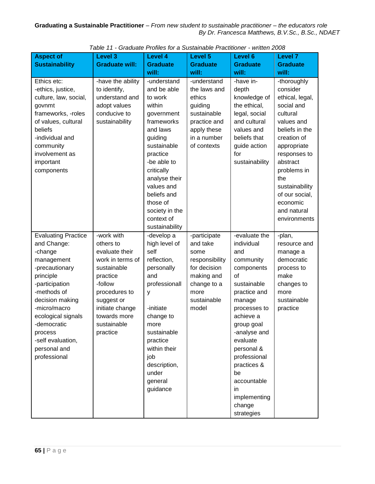| <b>Aspect of</b>                | <b>Level 3</b>                  | <b>Level 4</b>              | Level 5                        | Level 6                      | Level 7                  |
|---------------------------------|---------------------------------|-----------------------------|--------------------------------|------------------------------|--------------------------|
| <b>Sustainability</b>           | <b>Graduate will:</b>           | <b>Graduate</b>             | <b>Graduate</b>                | <b>Graduate</b>              | <b>Graduate</b>          |
|                                 |                                 | will:                       | will:                          | will:                        | will:                    |
| Ethics etc:                     | -have the ability               | -understand                 | -understand                    | -have in-                    | -thoroughly<br>consider  |
| -ethics, justice,               | to identify,<br>understand and  | and be able<br>to work      | the laws and<br>ethics         | depth                        | ethical, legal,          |
| culture, law, social,<br>govnmt | adopt values                    | within                      | guiding                        | knowledge of<br>the ethical, | social and               |
| frameworks, -roles              | conducive to                    | government                  | sustainable                    | legal, social                | cultural                 |
| of values, cultural             | sustainability                  | frameworks                  | practice and                   | and cultural                 | values and               |
| beliefs                         |                                 | and laws                    | apply these                    | values and                   | beliefs in the           |
| -individual and                 |                                 | guiding                     | in a number                    | beliefs that                 | creation of              |
| community                       |                                 | sustainable                 | of contexts                    | guide action                 | appropriate              |
| involvement as                  |                                 | practice                    |                                | for                          | responses to             |
| important                       |                                 | -be able to                 |                                | sustainability               | abstract                 |
| components                      |                                 | critically                  |                                |                              | problems in<br>the       |
|                                 |                                 | analyse their<br>values and |                                |                              | sustainability           |
|                                 |                                 | beliefs and                 |                                |                              | of our social,           |
|                                 |                                 | those of                    |                                |                              | economic                 |
|                                 |                                 | society in the              |                                |                              | and natural              |
|                                 |                                 | context of                  |                                |                              | environments             |
|                                 |                                 | sustainability              |                                |                              |                          |
| <b>Evaluating Practice</b>      | -work with                      | -develop a                  | -participate                   | -evaluate the                | -plan,                   |
| and Change:                     | others to                       | high level of               | and take                       | individual                   | resource and             |
| -change                         | evaluate their                  | self                        | some                           | and                          | manage a                 |
| management<br>-precautionary    | work in terms of<br>sustainable | reflection,<br>personally   | responsibility<br>for decision | community<br>components      | democratic<br>process to |
| principle                       | practice                        | and                         | making and                     | of                           | make                     |
| -participation                  | -follow                         | professionall               | change to a                    | sustainable                  | changes to               |
| -methods of                     | procedures to                   | У                           | more                           | practice and                 | more                     |
| decision making                 | suggest or                      |                             | sustainable                    | manage                       | sustainable              |
| -micro/macro                    | initiate change                 | -initiate                   | model                          | processes to                 | practice                 |
| ecological signals              | towards more                    | change to                   |                                | achieve a                    |                          |
| -democratic                     | sustainable                     | more                        |                                | group goal                   |                          |
| process                         | practice                        | sustainable                 |                                | -analyse and                 |                          |
| -self evaluation,               |                                 | practice<br>within their    |                                | evaluate                     |                          |
| personal and<br>professional    |                                 | job                         |                                | personal &<br>professional   |                          |
|                                 |                                 | description,                |                                | practices &                  |                          |
|                                 |                                 | under                       |                                | be                           |                          |
|                                 |                                 | general                     |                                | accountable                  |                          |
|                                 |                                 | guidance                    |                                | in                           |                          |
|                                 |                                 |                             |                                | implementing                 |                          |
|                                 |                                 |                             |                                | change                       |                          |
|                                 |                                 |                             |                                | strategies                   |                          |

*Table 11 - Graduate Profiles for a Sustainable Practitioner - written 2008*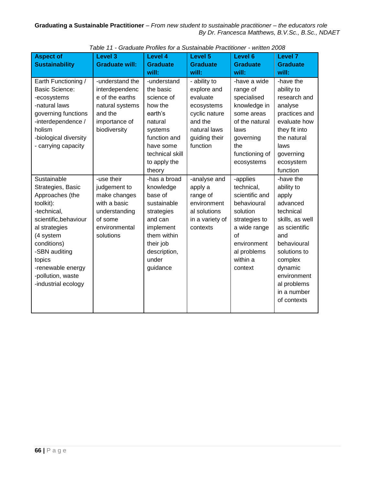| <b>Aspect of</b><br><b>Sustainability</b>                                                                                                                                                                                                         | <b>Level 3</b><br><b>Graduate will:</b>                                                                              | <b>Level 4</b><br><b>Graduate</b><br>will:                                                                                                                   | <b>Level 5</b><br><b>Graduate</b><br>will:                                                                                     | Level 6<br><b>Graduate</b><br>will:                                                                                                                             | <b>Level 7</b><br><b>Graduate</b><br>will:                                                                                                                                                                            |
|---------------------------------------------------------------------------------------------------------------------------------------------------------------------------------------------------------------------------------------------------|----------------------------------------------------------------------------------------------------------------------|--------------------------------------------------------------------------------------------------------------------------------------------------------------|--------------------------------------------------------------------------------------------------------------------------------|-----------------------------------------------------------------------------------------------------------------------------------------------------------------|-----------------------------------------------------------------------------------------------------------------------------------------------------------------------------------------------------------------------|
| Earth Functioning /<br><b>Basic Science:</b><br>-ecosystems<br>-natural laws<br>governing functions<br>-interdependence /<br>holism<br>-biological diversity<br>- carrying capacity                                                               | -understand the<br>interdependenc<br>e of the earths<br>natural systems<br>and the<br>importance of<br>biodiversity  | -understand<br>the basic<br>science of<br>how the<br>earth's<br>natural<br>systems<br>function and<br>have some<br>technical skill<br>to apply the<br>theory | - ability to<br>explore and<br>evaluate<br>ecosystems<br>cyclic nature<br>and the<br>natural laws<br>guiding their<br>function | -have a wide<br>range of<br>specialised<br>knowledge in<br>some areas<br>of the natural<br>laws<br>governing<br>the<br>functioning of<br>ecosystems             | -have the<br>ability to<br>research and<br>analyse<br>practices and<br>evaluate how<br>they fit into<br>the natural<br>laws<br>governing<br>ecosystem<br>function                                                     |
| Sustainable<br>Strategies, Basic<br>Approaches (the<br>toolkit):<br>-technical,<br>scientific, behaviour<br>al strategies<br>(4 system<br>conditions)<br>-SBN auditing<br>topics<br>-renewable energy<br>-pollution, waste<br>-industrial ecology | -use their<br>judgement to<br>make changes<br>with a basic<br>understanding<br>of some<br>environmental<br>solutions | -has a broad<br>knowledge<br>base of<br>sustainable<br>strategies<br>and can<br>implement<br>them within<br>their job<br>description,<br>under<br>guidance   | -analyse and<br>apply a<br>range of<br>environment<br>al solutions<br>in a variety of<br>contexts                              | -applies<br>technical,<br>scientific and<br>behavioural<br>solution<br>strategies to<br>a wide range<br>of<br>environment<br>al problems<br>within a<br>context | -have the<br>ability to<br>apply<br>advanced<br>technical<br>skills, as well<br>as scientific<br>and<br>behavioural<br>solutions to<br>complex<br>dynamic<br>environment<br>al problems<br>in a number<br>of contexts |

*Table 11 - Graduate Profiles for a Sustainable Practitioner - written 2008*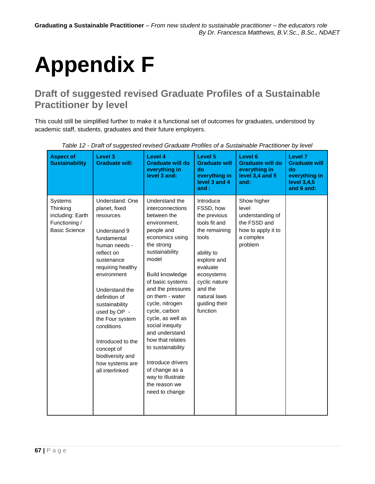# <span id="page-66-0"></span>**Appendix F**

## **Draft of suggested revised Graduate Profiles of a Sustainable Practitioner by level**

This could still be simplified further to make it a functional set of outcomes for graduates, understood by academic staff, students, graduates and their future employers.

| <b>Aspect of</b><br><b>Sustainability</b>                                               | Level 3<br><b>Graduate will:</b>                                                                                                                                                                                                                                                                                                                                 | Level 4<br><b>Graduate will do</b><br>everything in<br>level 3 and:                                                                                                                                                                                                                                                                                                                                                                                              | Level 5<br><b>Graduate will</b><br>do<br>everything in<br>level 3 and 4<br>and:                                                                                                                                   | Level 6<br><b>Graduate will do</b><br>everything in<br>level 3,4 and 5<br>and:                         | Level <sub>7</sub><br><b>Graduate will</b><br>do<br>everything in<br>level 3,4,5<br>and 6 and: |
|-----------------------------------------------------------------------------------------|------------------------------------------------------------------------------------------------------------------------------------------------------------------------------------------------------------------------------------------------------------------------------------------------------------------------------------------------------------------|------------------------------------------------------------------------------------------------------------------------------------------------------------------------------------------------------------------------------------------------------------------------------------------------------------------------------------------------------------------------------------------------------------------------------------------------------------------|-------------------------------------------------------------------------------------------------------------------------------------------------------------------------------------------------------------------|--------------------------------------------------------------------------------------------------------|------------------------------------------------------------------------------------------------|
| <b>Systems</b><br>Thinking<br>including: Earth<br>Functioning /<br><b>Basic Science</b> | Understand: One<br>planet, fixed<br>resources<br>Understand 9<br>fundamental<br>human needs -<br>reflect on<br>sustenance<br>requiring healthy<br>environment<br>Understand the<br>definition of<br>sustainability<br>used by OP -<br>the Four system<br>conditions<br>Introduced to the<br>concept of<br>biodiversity and<br>how systems are<br>all interlinked | Understand the<br>interconnections<br>between the<br>environment,<br>people and<br>economics using<br>the strong<br>sustainability<br>model<br>Build knowledge<br>of basic systems<br>and the pressures<br>on them - water<br>cycle, nitrogen<br>cycle, carbon<br>cycle, as well as<br>social inequity<br>and understand<br>how that relates<br>to sustainability<br>Introduce drivers<br>of change as a<br>way to illustrate<br>the reason we<br>need to change | Introduce<br>FSSD, how<br>the previous<br>tools fit and<br>the remaining<br>tools<br>ability to<br>explore and<br>evaluate<br>ecosystems<br>cyclic nature<br>and the<br>natural laws<br>guiding their<br>function | Show higher<br>level<br>understanding of<br>the FSSD and<br>how to apply it to<br>a complex<br>problem |                                                                                                |

*Table 12 - Draft of suggested revised Graduate Profiles of a Sustainable Practitioner by level*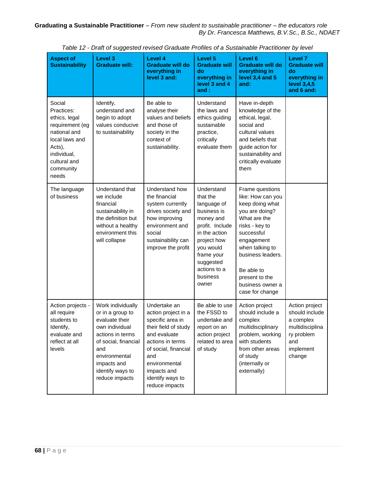|                                                                                                                                                           |                                                                                                                                                                                                    |                                                                                                                                                                                                                          | <b>Prait of daggooted revised Orddate Fromco or a Oddamable Fractitioner by lover</b>                                                                                                             |                                                                                                                                                                                                                                                        |                                                                                                              |
|-----------------------------------------------------------------------------------------------------------------------------------------------------------|----------------------------------------------------------------------------------------------------------------------------------------------------------------------------------------------------|--------------------------------------------------------------------------------------------------------------------------------------------------------------------------------------------------------------------------|---------------------------------------------------------------------------------------------------------------------------------------------------------------------------------------------------|--------------------------------------------------------------------------------------------------------------------------------------------------------------------------------------------------------------------------------------------------------|--------------------------------------------------------------------------------------------------------------|
| <b>Aspect of</b><br><b>Sustainability</b>                                                                                                                 | Level 3<br><b>Graduate will:</b>                                                                                                                                                                   | Level 4<br><b>Graduate will do</b><br>everything in<br>level 3 and:                                                                                                                                                      | Level 5<br><b>Graduate will</b><br>do<br>everything in<br>level 3 and 4<br>and :                                                                                                                  | Level 6<br><b>Graduate will do</b><br>everything in<br>level 3,4 and 5<br>and:                                                                                                                                                                         | Level 7<br><b>Graduate will</b><br>do<br>everything in<br>level 3,4,5<br>and 6 and:                          |
| Social<br>Practices:<br>ethics, legal<br>requirement (eg<br>national and<br>local laws and<br>Acts),<br>individual,<br>cultural and<br>community<br>needs | Identify,<br>understand and<br>begin to adopt<br>values conducive<br>to sustainability                                                                                                             | Be able to<br>analyse their<br>values and beliefs<br>and those of<br>society in the<br>context of<br>sustainability.                                                                                                     | Understand<br>the laws and<br>ethics guiding<br>sustainable<br>practice,<br>critically<br>evaluate them                                                                                           | Have in-depth<br>knowledge of the<br>ethical, legal,<br>social and<br>cultural values<br>and beliefs that<br>guide action for<br>sustainability and<br>critically evaluate<br>them                                                                     |                                                                                                              |
| The language<br>of business                                                                                                                               | Understand that<br>we include<br>financial<br>sustainability in<br>the definition but<br>without a healthy<br>environment this<br>will collapse                                                    | Understand how<br>the financial<br>system currently<br>drives society and<br>how improving<br>environment and<br>social<br>sustainability can<br>improve the profit                                                      | Understand<br>that the<br>language of<br>business is<br>money and<br>profit. Include<br>in the action<br>project how<br>you would<br>frame your<br>suggested<br>actions to a<br>business<br>owner | Frame questions<br>like: How can you<br>keep doing what<br>you are doing?<br>What are the<br>risks - key to<br>successful<br>engagement<br>when talking to<br>business leaders.<br>Be able to<br>present to the<br>business owner a<br>case for change |                                                                                                              |
| Action projects -<br>all require<br>students to<br>Identify,<br>evaluate and<br>reflect at all<br>levels                                                  | Work individually<br>or in a group to<br>evaluate their<br>own individual<br>actions in terms<br>of social, financial<br>and<br>environmental<br>impacts and<br>identify ways to<br>reduce impacts | Undertake an<br>action project in a<br>specific area in<br>their field of study<br>and evaluate<br>actions in terms<br>of social, financial<br>and<br>environmental<br>impacts and<br>identify ways to<br>reduce impacts | Be able to use<br>the FSSD to<br>undertake and<br>report on an<br>action project<br>related to area<br>of study                                                                                   | Action project<br>should include a<br>complex<br>multidisciplinary<br>problem, working<br>with students<br>from other areas<br>of study<br>(internally or<br>externally)                                                                               | Action project<br>should include<br>a complex<br>multidisciplina<br>ry problem<br>and<br>implement<br>change |

*Table 12 - Draft of suggested revised Graduate Profiles of a Sustainable Practitioner by level*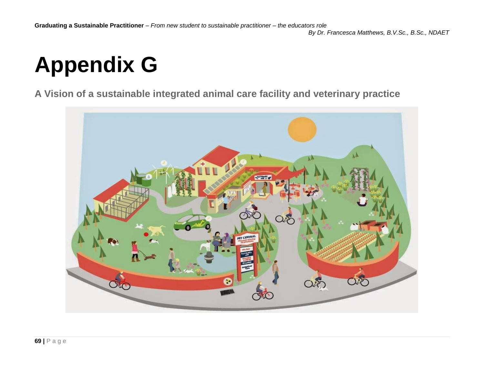# **Appendix G**

**A Vision of a sustainable integrated animal care facility and veterinary practice**

<span id="page-68-0"></span>